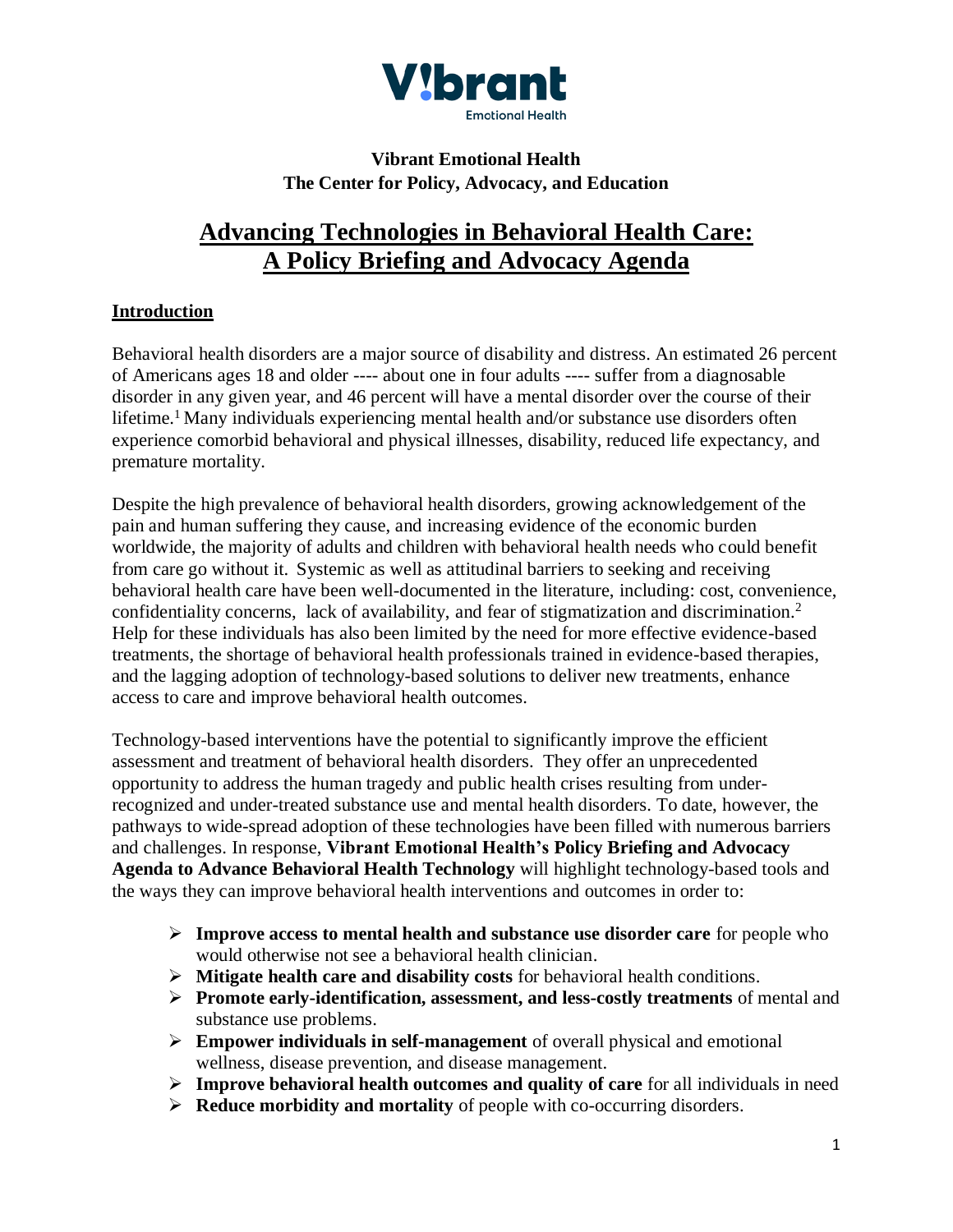

# **Vibrant Emotional Health The Center for Policy, Advocacy, and Education**

# **Advancing Technologies in Behavioral Health Care: A Policy Briefing and Advocacy Agenda**

# **Introduction**

Behavioral health disorders are a major source of disability and distress. An estimated 26 percent of Americans ages 18 and older ---- about one in four adults ---- suffer from a diagnosable disorder in any given year, and 46 percent will have a mental disorder over the course of their lifetime.<sup>1</sup> Many individuals experiencing mental health and/or substance use disorders often experience comorbid behavioral and physical illnesses, disability, reduced life expectancy, and premature mortality.

Despite the high prevalence of behavioral health disorders, growing acknowledgement of the pain and human suffering they cause, and increasing evidence of the economic burden worldwide, the majority of adults and children with behavioral health needs who could benefit from care go without it. Systemic as well as attitudinal barriers to seeking and receiving behavioral health care have been well-documented in the literature, including: cost, convenience, confidentiality concerns, lack of availability, and fear of stigmatization and discrimination.<sup>2</sup> Help for these individuals has also been limited by the need for more effective evidence-based treatments, the shortage of behavioral health professionals trained in evidence-based therapies, and the lagging adoption of technology-based solutions to deliver new treatments, enhance access to care and improve behavioral health outcomes.

Technology-based interventions have the potential to significantly improve the efficient assessment and treatment of behavioral health disorders. They offer an unprecedented opportunity to address the human tragedy and public health crises resulting from underrecognized and under-treated substance use and mental health disorders. To date, however, the pathways to wide-spread adoption of these technologies have been filled with numerous barriers and challenges. In response, **Vibrant Emotional Health's Policy Briefing and Advocacy Agenda to Advance Behavioral Health Technology** will highlight technology-based tools and the ways they can improve behavioral health interventions and outcomes in order to:

- ➢ **Improve access to mental health and substance use disorder care** for people who would otherwise not see a behavioral health clinician.
- ➢ **Mitigate health care and disability costs** for behavioral health conditions.
- ➢ **Promote early-identification, assessment, and less-costly treatments** of mental and substance use problems.
- ➢ **Empower individuals in self-management** of overall physical and emotional wellness, disease prevention, and disease management.
- ➢ **Improve behavioral health outcomes and quality of care** for all individuals in need
- ➢ **Reduce morbidity and mortality** of people with co-occurring disorders.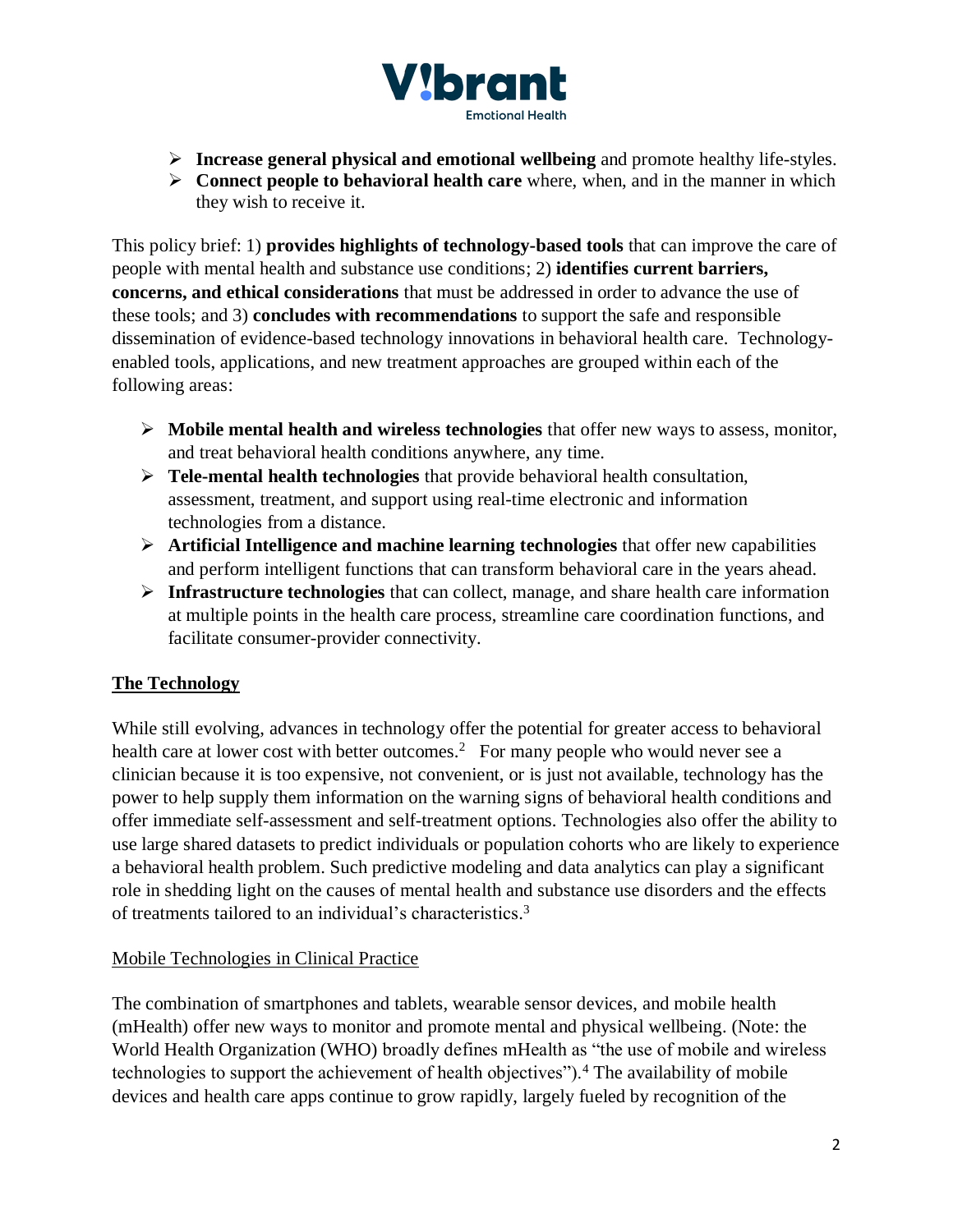

- ➢ **Increase general physical and emotional wellbeing** and promote healthy life-styles.
- ➢ **Connect people to behavioral health care** where, when, and in the manner in which they wish to receive it.

This policy brief: 1) **provides highlights of technology-based tools** that can improve the care of people with mental health and substance use conditions; 2) **identifies current barriers, concerns, and ethical considerations** that must be addressed in order to advance the use of these tools; and 3) **concludes with recommendations** to support the safe and responsible dissemination of evidence-based technology innovations in behavioral health care. Technologyenabled tools, applications, and new treatment approaches are grouped within each of the following areas:

- ➢ **Mobile mental health and wireless technologies** that offer new ways to assess, monitor, and treat behavioral health conditions anywhere, any time.
- ➢ **Tele-mental health technologies** that provide behavioral health consultation, assessment, treatment, and support using real-time electronic and information technologies from a distance.
- ➢ **Artificial Intelligence and machine learning technologies** that offer new capabilities and perform intelligent functions that can transform behavioral care in the years ahead.
- ➢ **Infrastructure technologies** that can collect, manage, and share health care information at multiple points in the health care process, streamline care coordination functions, and facilitate consumer-provider connectivity.

# **The Technology**

While still evolving, advances in technology offer the potential for greater access to behavioral health care at lower cost with better outcomes.<sup>2</sup> For many people who would never see a clinician because it is too expensive, not convenient, or is just not available, technology has the power to help supply them information on the warning signs of behavioral health conditions and offer immediate self-assessment and self-treatment options. Technologies also offer the ability to use large shared datasets to predict individuals or population cohorts who are likely to experience a behavioral health problem. Such predictive modeling and data analytics can play a significant role in shedding light on the causes of mental health and substance use disorders and the effects of treatments tailored to an individual's characteristics. 3

#### Mobile Technologies in Clinical Practice

The combination of smartphones and tablets, wearable sensor devices, and mobile health (mHealth) offer new ways to monitor and promote mental and physical wellbeing. (Note: the World Health Organization (WHO) broadly defines mHealth as "the use of mobile and wireless technologies to support the achievement of health objectives").<sup>4</sup> The availability of mobile devices and health care apps continue to grow rapidly, largely fueled by recognition of the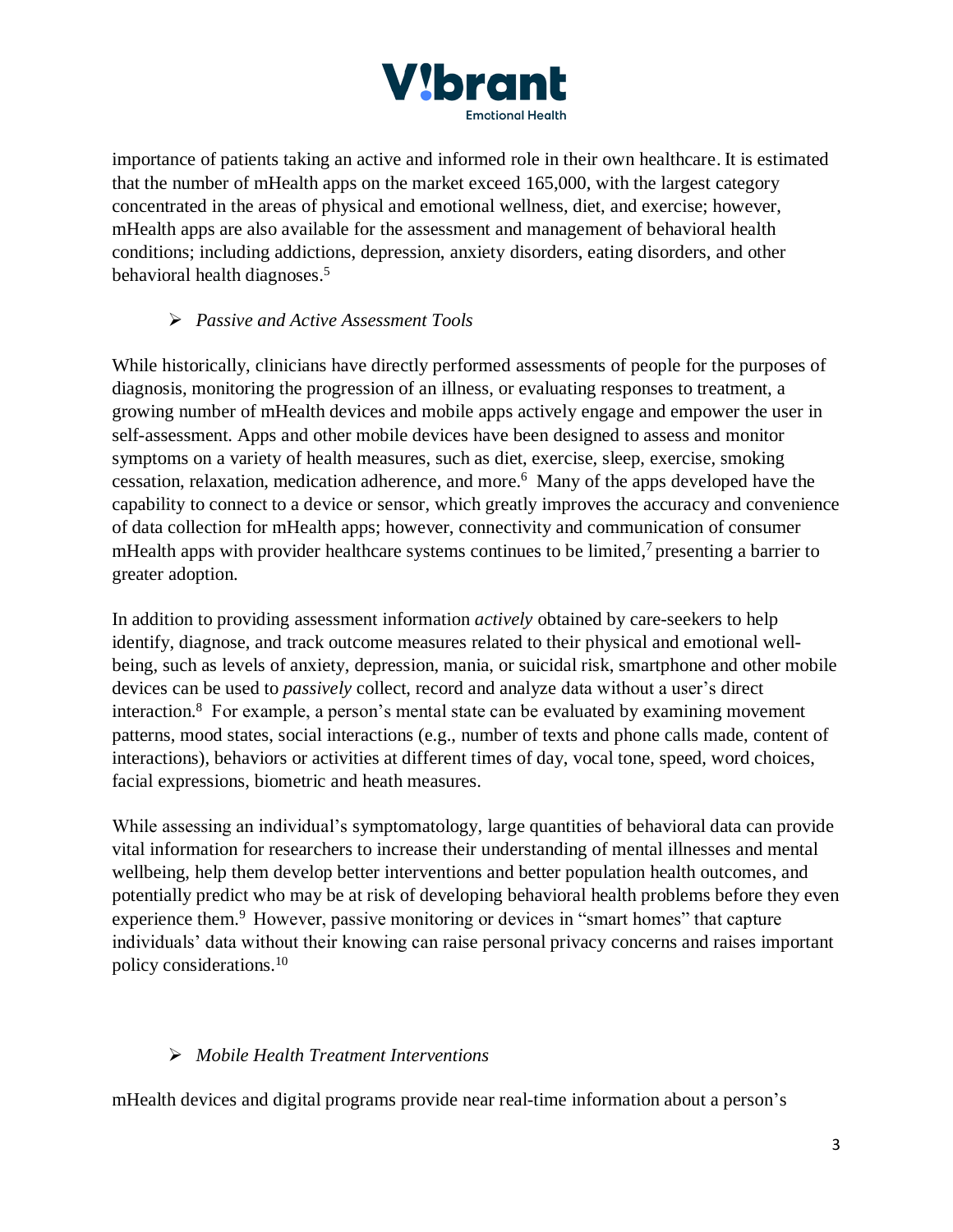

importance of patients taking an active and informed role in their own healthcare. It is estimated that the number of mHealth apps on the market exceed 165,000, with the largest category concentrated in the areas of physical and emotional wellness, diet, and exercise; however, mHealth apps are also available for the assessment and management of behavioral health conditions; including addictions, depression, anxiety disorders, eating disorders, and other behavioral health diagnoses. 5

# ➢ *Passive and Active Assessment Tools*

While historically, clinicians have directly performed assessments of people for the purposes of diagnosis, monitoring the progression of an illness, or evaluating responses to treatment, a growing number of mHealth devices and mobile apps actively engage and empower the user in self-assessment. Apps and other mobile devices have been designed to assess and monitor symptoms on a variety of health measures, such as diet, exercise, sleep, exercise, smoking cessation, relaxation, medication adherence, and more. 6 Many of the apps developed have the capability to connect to a device or sensor, which greatly improves the accuracy and convenience of data collection for mHealth apps; however, connectivity and communication of consumer mHealth apps with provider healthcare systems continues to be limited,<sup>7</sup> presenting a barrier to greater adoption.

In addition to providing assessment information *actively* obtained by care-seekers to help identify, diagnose, and track outcome measures related to their physical and emotional wellbeing, such as levels of anxiety, depression, mania, or suicidal risk, smartphone and other mobile devices can be used to *passively* collect, record and analyze data without a user's direct interaction.<sup>8</sup> For example, a person's mental state can be evaluated by examining movement patterns, mood states, social interactions (e.g., number of texts and phone calls made, content of interactions), behaviors or activities at different times of day, vocal tone, speed, word choices, facial expressions, biometric and heath measures.

While assessing an individual's symptomatology, large quantities of behavioral data can provide vital information for researchers to increase their understanding of mental illnesses and mental wellbeing, help them develop better interventions and better population health outcomes, and potentially predict who may be at risk of developing behavioral health problems before they even experience them.<sup>9</sup> However, passive monitoring or devices in "smart homes" that capture individuals' data without their knowing can raise personal privacy concerns and raises important policy considerations.<sup>10</sup>

# ➢ *Mobile Health Treatment Interventions*

mHealth devices and digital programs provide near real-time information about a person's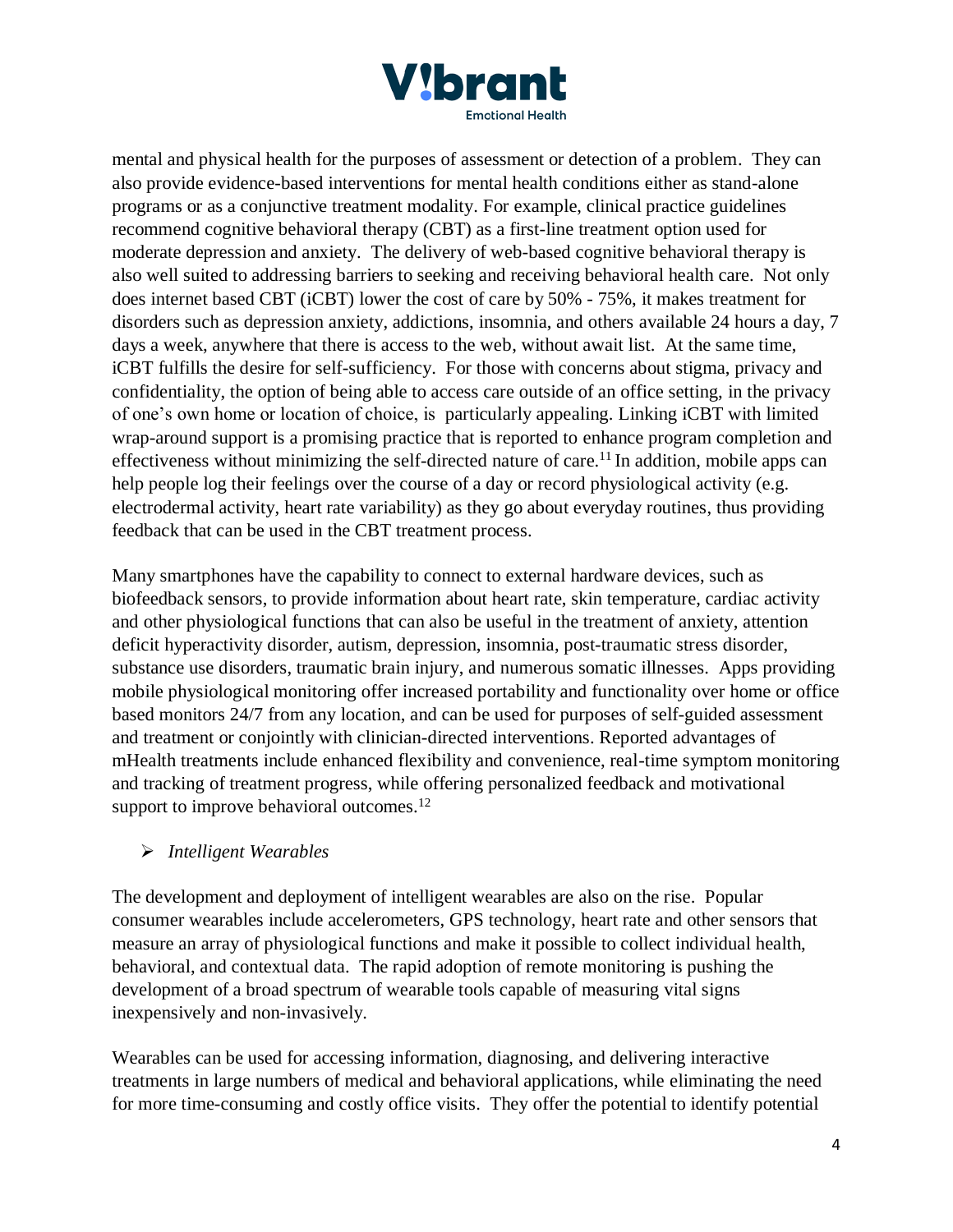

mental and physical health for the purposes of assessment or detection of a problem. They can also provide evidence-based interventions for mental health conditions either as stand-alone programs or as a conjunctive treatment modality. For example, clinical practice guidelines recommend cognitive behavioral therapy (CBT) as a first-line treatment option used for moderate depression and anxiety. The delivery of web-based cognitive behavioral therapy is also well suited to addressing barriers to seeking and receiving behavioral health care. Not only does internet based CBT (iCBT) lower the cost of care by 50% - 75%, it makes treatment for disorders such as depression anxiety, addictions, insomnia, and others available 24 hours a day, 7 days a week, anywhere that there is access to the web, without await list. At the same time, iCBT fulfills the desire for self-sufficiency. For those with concerns about stigma, privacy and confidentiality, the option of being able to access care outside of an office setting, in the privacy of one's own home or location of choice, is particularly appealing. Linking iCBT with limited wrap-around support is a promising practice that is reported to enhance program completion and effectiveness without minimizing the self-directed nature of care.<sup>11</sup> In addition, mobile apps can help people log their feelings over the course of a day or record physiological activity (e.g. electrodermal activity, heart rate variability) as they go about everyday routines, thus providing feedback that can be used in the CBT treatment process.

Many smartphones have the capability to connect to external hardware devices, such as biofeedback sensors, to provide information about heart rate, skin temperature, cardiac activity and other physiological functions that can also be useful in the treatment of anxiety, attention deficit hyperactivity disorder, autism, depression, insomnia, post-traumatic stress disorder, substance use disorders, traumatic brain injury, and numerous somatic illnesses. Apps providing mobile physiological monitoring offer increased portability and functionality over home or office based monitors 24/7 from any location, and can be used for purposes of self-guided assessment and treatment or conjointly with clinician-directed interventions. Reported advantages of mHealth treatments include enhanced flexibility and convenience, real-time symptom monitoring and tracking of treatment progress, while offering personalized feedback and motivational support to improve behavioral outcomes.<sup>12</sup>

# ➢ *Intelligent Wearables*

The development and deployment of intelligent wearables are also on the rise. Popular consumer wearables include accelerometers, GPS technology, heart rate and other sensors that measure an array of physiological functions and make it possible to collect individual health, behavioral, and contextual data. The rapid adoption of remote monitoring is pushing the development of a broad spectrum of wearable tools capable of measuring vital signs inexpensively and non-invasively.

Wearables can be used for accessing information, diagnosing, and delivering interactive treatments in large numbers of medical and behavioral applications, while eliminating the need for more time-consuming and costly office visits. They offer the potential to identify potential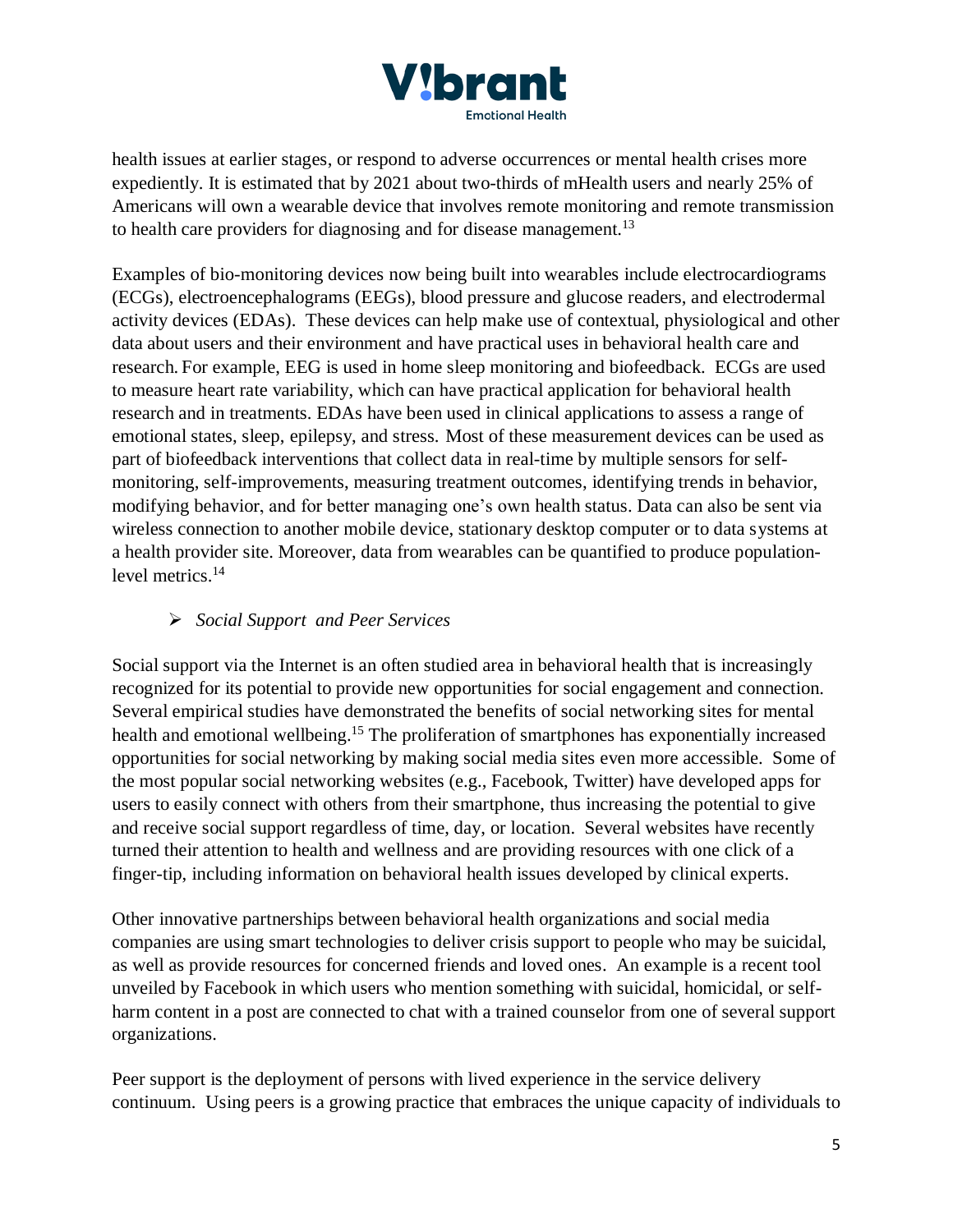

health issues at earlier stages, or respond to adverse occurrences or mental health crises more expediently. It is estimated that by 2021 about two-thirds of mHealth users and nearly 25% of Americans will own a wearable device that involves remote monitoring and remote transmission to health care providers for diagnosing and for disease management.<sup>13</sup>

Examples of bio-monitoring devices now being built into wearables include electrocardiograms (ECGs), electroencephalograms (EEGs), blood pressure and glucose readers, and electrodermal activity devices (EDAs). These devices can help make use of contextual, physiological and other data about users and their environment and have practical uses in behavioral health care and research. For example, EEG is used in home sleep monitoring and biofeedback. ECGs are used to measure heart rate variability, which can have practical application for behavioral health research and in treatments. EDAs have been used in clinical applications to assess a range of emotional states, sleep, epilepsy, and stress. Most of these measurement devices can be used as part of biofeedback interventions that collect data in real-time by multiple sensors for selfmonitoring, self-improvements, measuring treatment outcomes, identifying trends in behavior, modifying behavior, and for better managing one's own health status. Data can also be sent via wireless connection to another mobile device, stationary desktop computer or to data systems at a health provider site. Moreover, data from wearables can be quantified to produce populationlevel metrics. 14

# ➢ *Social Support and Peer Services*

Social support via the Internet is an often studied area in behavioral health that is increasingly recognized for its potential to provide new opportunities for social engagement and connection. Several empirical studies have demonstrated the benefits of social networking sites for mental health and emotional wellbeing. <sup>15</sup> The proliferation of smartphones has exponentially increased opportunities for social networking by making social media sites even more accessible. Some of the most popular social networking websites (e.g., Facebook, Twitter) have developed apps for users to easily connect with others from their smartphone, thus increasing the potential to give and receive social support regardless of time, day, or location. Several websites have recently turned their attention to health and wellness and are providing resources with one click of a finger-tip, including information on behavioral health issues developed by clinical experts.

Other innovative partnerships between behavioral health organizations and social media companies are using smart technologies to deliver crisis support to people who may be suicidal, as well as provide resources for concerned friends and loved ones. An example is a recent tool unveiled by Facebook in which users who mention something with suicidal, homicidal, or selfharm content in a post are connected to chat with a trained counselor from one of several support organizations.

Peer support is the deployment of persons with lived experience in the service delivery continuum. Using peers is a growing practice that embraces the unique capacity of individuals to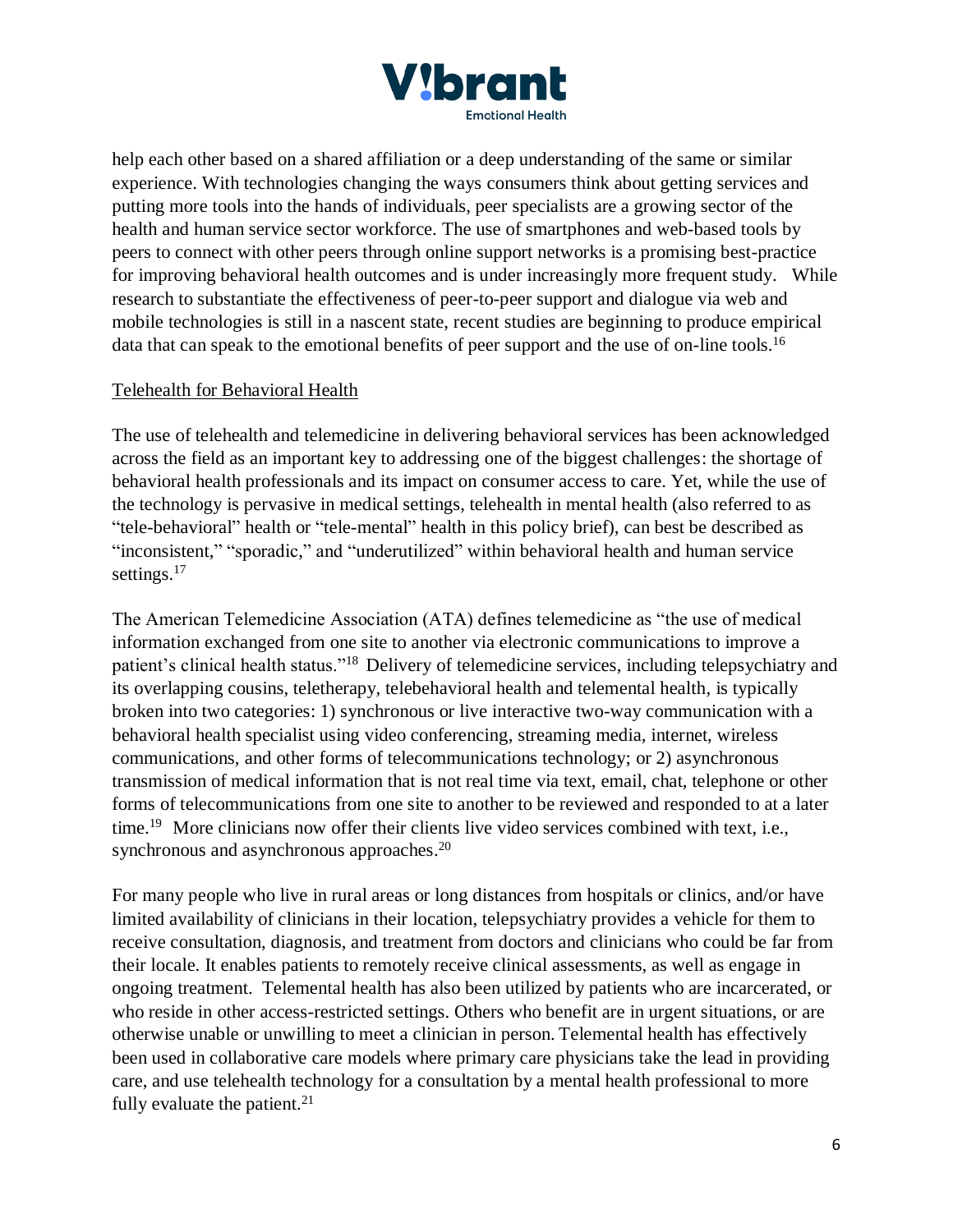

help each other based on a shared affiliation or a deep understanding of the same or similar experience. With technologies changing the ways consumers think about getting services and putting more tools into the hands of individuals, peer specialists are a growing sector of the health and human service sector workforce. The use of smartphones and web-based tools by peers to connect with other peers through online support networks is a promising best-practice for improving behavioral health outcomes and is under increasingly more frequent study. While research to substantiate the effectiveness of peer-to-peer support and dialogue via web and mobile technologies is still in a nascent state, recent studies are beginning to produce empirical data that can speak to the emotional benefits of peer support and the use of on-line tools.<sup>16</sup>

#### Telehealth for Behavioral Health

The use of telehealth and telemedicine in delivering behavioral services has been acknowledged across the field as an important key to addressing one of the biggest challenges: the shortage of behavioral health professionals and its impact on consumer access to care. Yet, while the use of the technology is pervasive in medical settings, telehealth in mental health (also referred to as "tele-behavioral" health or "tele-mental" health in this policy brief), can best be described as "inconsistent," "sporadic," and "underutilized" within behavioral health and human service settings.<sup>17</sup>

The American Telemedicine Association (ATA) defines telemedicine as "the use of medical information exchanged from one site to another via electronic communications to improve a patient's clinical health status."<sup>18</sup> Delivery of telemedicine services, including telepsychiatry and its overlapping cousins, teletherapy, telebehavioral health and telemental health, is typically broken into two categories: 1) synchronous or live interactive two-way communication with a behavioral health specialist using video conferencing, streaming media, internet, wireless communications, and other forms of telecommunications technology; or 2) asynchronous transmission of medical information that is not real time via text, email, chat, telephone or other forms of telecommunications from one site to another to be reviewed and responded to at a later time.<sup>19</sup> More clinicians now offer their clients live video services combined with text, i.e., synchronous and asynchronous approaches.<sup>20</sup>

For many people who live in rural areas or long distances from hospitals or clinics, and/or have limited availability of clinicians in their location, telepsychiatry provides a vehicle for them to receive consultation, diagnosis, and treatment from doctors and clinicians who could be far from their locale. It enables patients to remotely receive clinical assessments, as well as engage in ongoing treatment. Telemental health has also been utilized by patients who are incarcerated, or who reside in other access-restricted settings. Others who benefit are in urgent situations, or are otherwise unable or unwilling to meet a clinician in person. Telemental health has effectively been used in collaborative care models where primary care physicians take the lead in providing care, and use telehealth technology for a consultation by a mental health professional to more fully evaluate the patient. $21$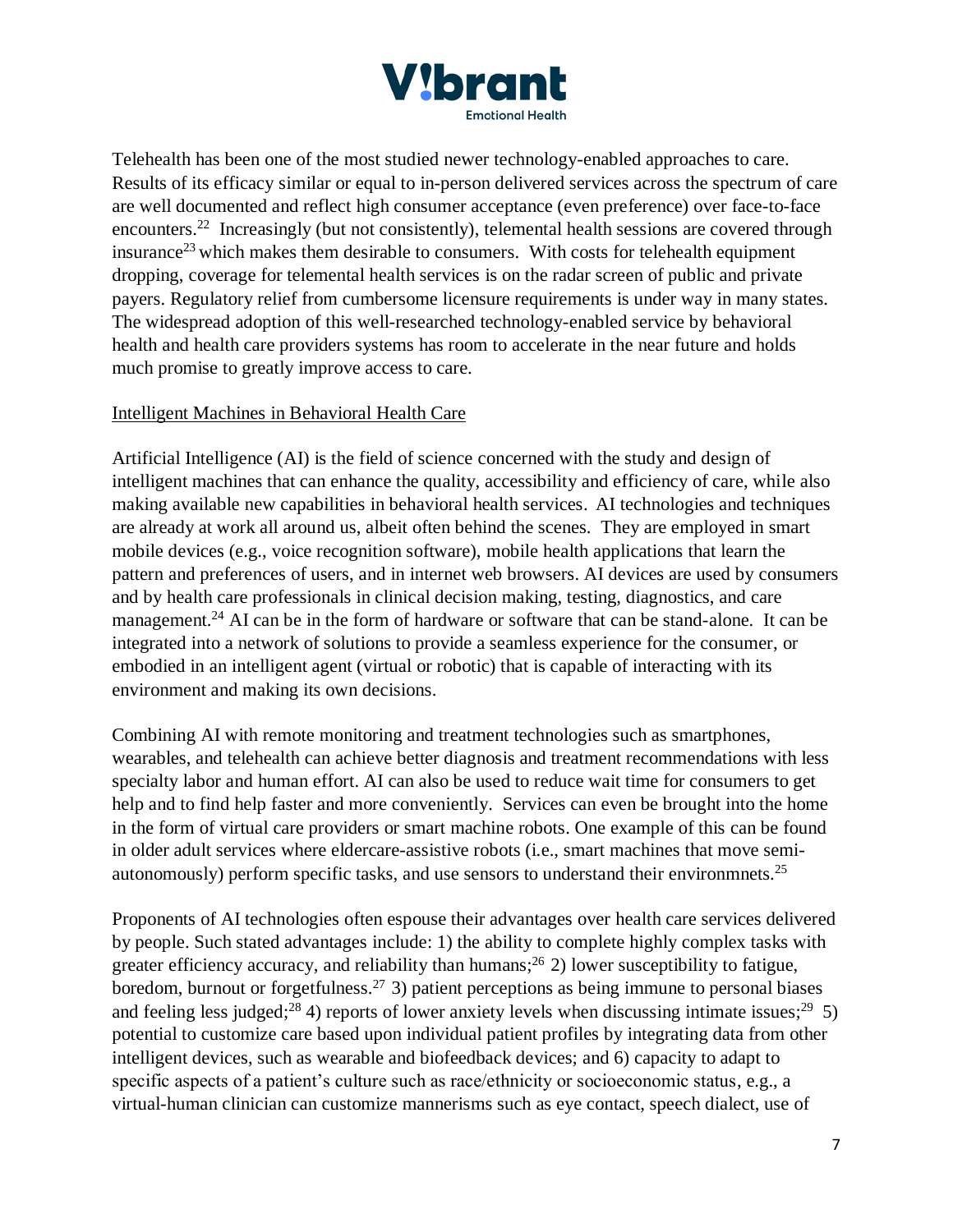

Telehealth has been one of the most studied newer technology-enabled approaches to care. Results of its efficacy similar or equal to in-person delivered services across the spectrum of care are well documented and reflect high consumer acceptance (even preference) over face-to-face encounters.<sup>22</sup> Increasingly (but not consistently), telemental health sessions are covered through insurance<sup>23</sup> which makes them desirable to consumers. With costs for telehealth equipment dropping, coverage for telemental health services is on the radar screen of public and private payers. Regulatory relief from cumbersome licensure requirements is under way in many states. The widespread adoption of this well-researched technology-enabled service by behavioral health and health care providers systems has room to accelerate in the near future and holds much promise to greatly improve access to care.

#### Intelligent Machines in Behavioral Health Care

Artificial Intelligence (AI) is the field of science concerned with the study and design of intelligent machines that can enhance the quality, accessibility and efficiency of care, while also making available new capabilities in behavioral health services. AI technologies and techniques are already at work all around us, albeit often behind the scenes. They are employed in smart mobile devices (e.g., voice recognition software), mobile health applications that learn the pattern and preferences of users, and in internet web browsers. AI devices are used by consumers and by health care professionals in clinical decision making, testing, diagnostics, and care management.<sup>24</sup> AI can be in the form of hardware or software that can be stand-alone. It can be integrated into a network of solutions to provide a seamless experience for the consumer, or embodied in an intelligent agent (virtual or robotic) that is capable of interacting with its environment and making its own decisions.

Combining AI with remote monitoring and treatment technologies such as smartphones, wearables, and telehealth can achieve better diagnosis and treatment recommendations with less specialty labor and human effort. AI can also be used to reduce wait time for consumers to get help and to find help faster and more conveniently. Services can even be brought into the home in the form of virtual care providers or smart machine robots. One example of this can be found in older adult services where eldercare-assistive robots (i.e., smart machines that move semiautonomously) perform specific tasks, and use sensors to understand their environmnets.<sup>25</sup>

Proponents of AI technologies often espouse their advantages over health care services delivered by people. Such stated advantages include: 1) the ability to complete highly complex tasks with greater efficiency accuracy, and reliability than humans;<sup>26</sup> 2) lower susceptibility to fatigue, boredom, burnout or forgetfulness.<sup>27</sup> 3) patient perceptions as being immune to personal biases and feeling less judged;<sup>28</sup> 4) reports of lower anxiety levels when discussing intimate issues;<sup>29</sup> 5) potential to customize care based upon individual patient profiles by integrating data from other intelligent devices, such as wearable and biofeedback devices; and 6) capacity to adapt to specific aspects of a patient's culture such as race/ethnicity or socioeconomic status, e.g., a virtual-human clinician can customize mannerisms such as eye contact, speech dialect, use of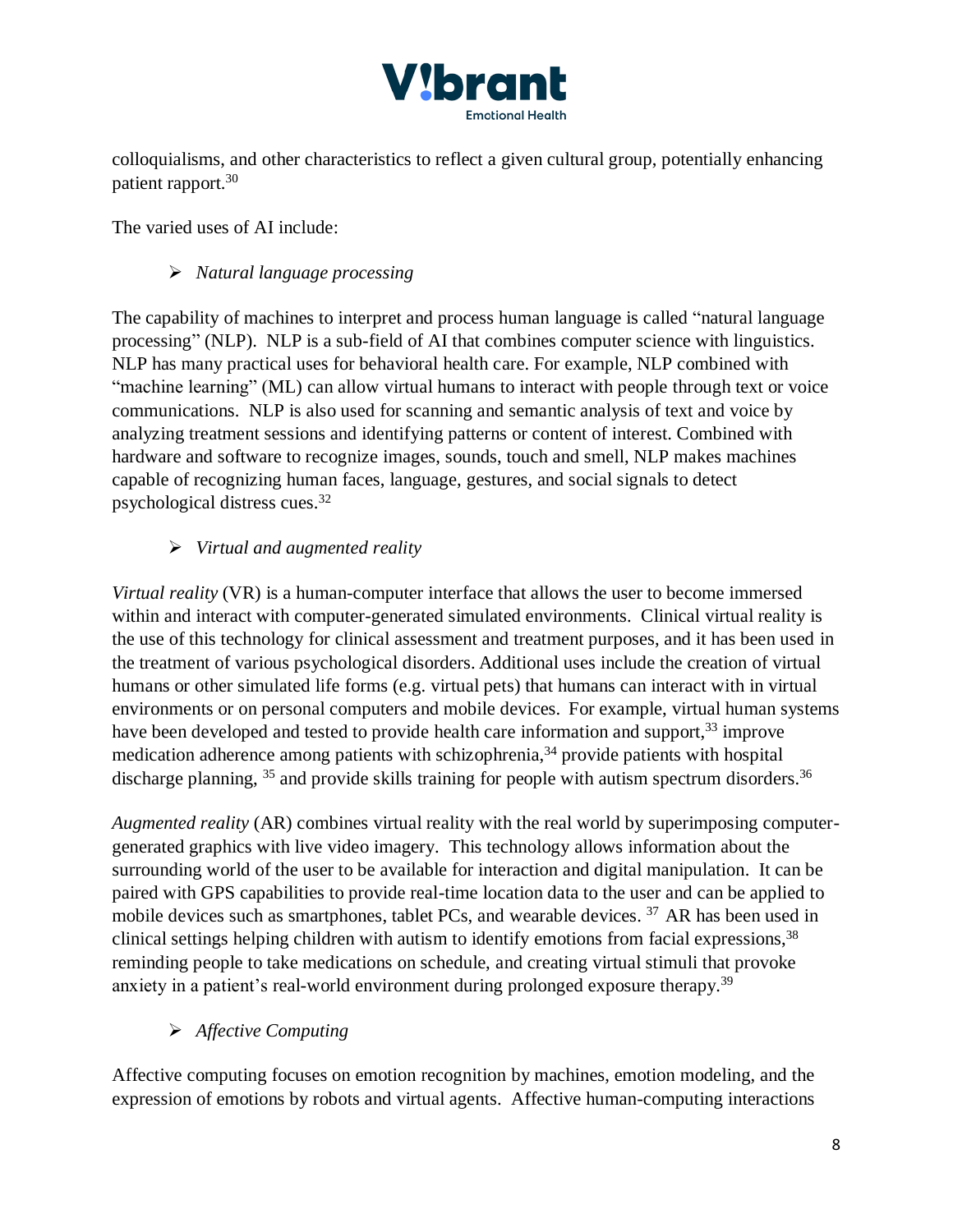

colloquialisms, and other characteristics to reflect a given cultural group, potentially enhancing patient rapport.<sup>30</sup>

The varied uses of AI include:

# ➢ *Natural language processing*

The capability of machines to interpret and process human language is called "natural language processing" (NLP). NLP is a sub-field of AI that combines computer science with linguistics. NLP has many practical uses for behavioral health care. For example, NLP combined with "machine learning" (ML) can allow virtual humans to interact with people through text or voice communications. NLP is also used for scanning and semantic analysis of text and voice by analyzing treatment sessions and identifying patterns or content of interest. Combined with hardware and software to recognize images, sounds, touch and smell, NLP makes machines capable of recognizing human faces, language, gestures, and social signals to detect psychological distress cues.<sup>32</sup>

# ➢ *Virtual and augmented reality*

*Virtual reality* (VR) is a human-computer interface that allows the user to become immersed within and interact with computer-generated simulated environments. Clinical virtual reality is the use of this technology for clinical assessment and treatment purposes, and it has been used in the treatment of various psychological disorders. Additional uses include the creation of virtual humans or other simulated life forms (e.g. virtual pets) that humans can interact with in virtual environments or on personal computers and mobile devices. For example, virtual human systems have been developed and tested to provide health care information and support,<sup>33</sup> improve medication adherence among patients with schizophrenia,<sup>34</sup> provide patients with hospital discharge planning, <sup>35</sup> and provide skills training for people with autism spectrum disorders.<sup>36</sup>

*Augmented reality* (AR) combines virtual reality with the real world by superimposing computergenerated graphics with live video imagery. This technology allows information about the surrounding world of the user to be available for interaction and digital manipulation. It can be paired with GPS capabilities to provide real-time location data to the user and can be applied to mobile devices such as smartphones, tablet PCs, and wearable devices.<sup>37</sup> AR has been used in clinical settings helping children with autism to identify emotions from facial expressions, 38 reminding people to take medications on schedule, and creating virtual stimuli that provoke anxiety in a patient's real-world environment during prolonged exposure therapy.<sup>39</sup>

# ➢ *Affective Computing*

Affective computing focuses on emotion recognition by machines, emotion modeling, and the expression of emotions by robots and virtual agents. Affective human-computing interactions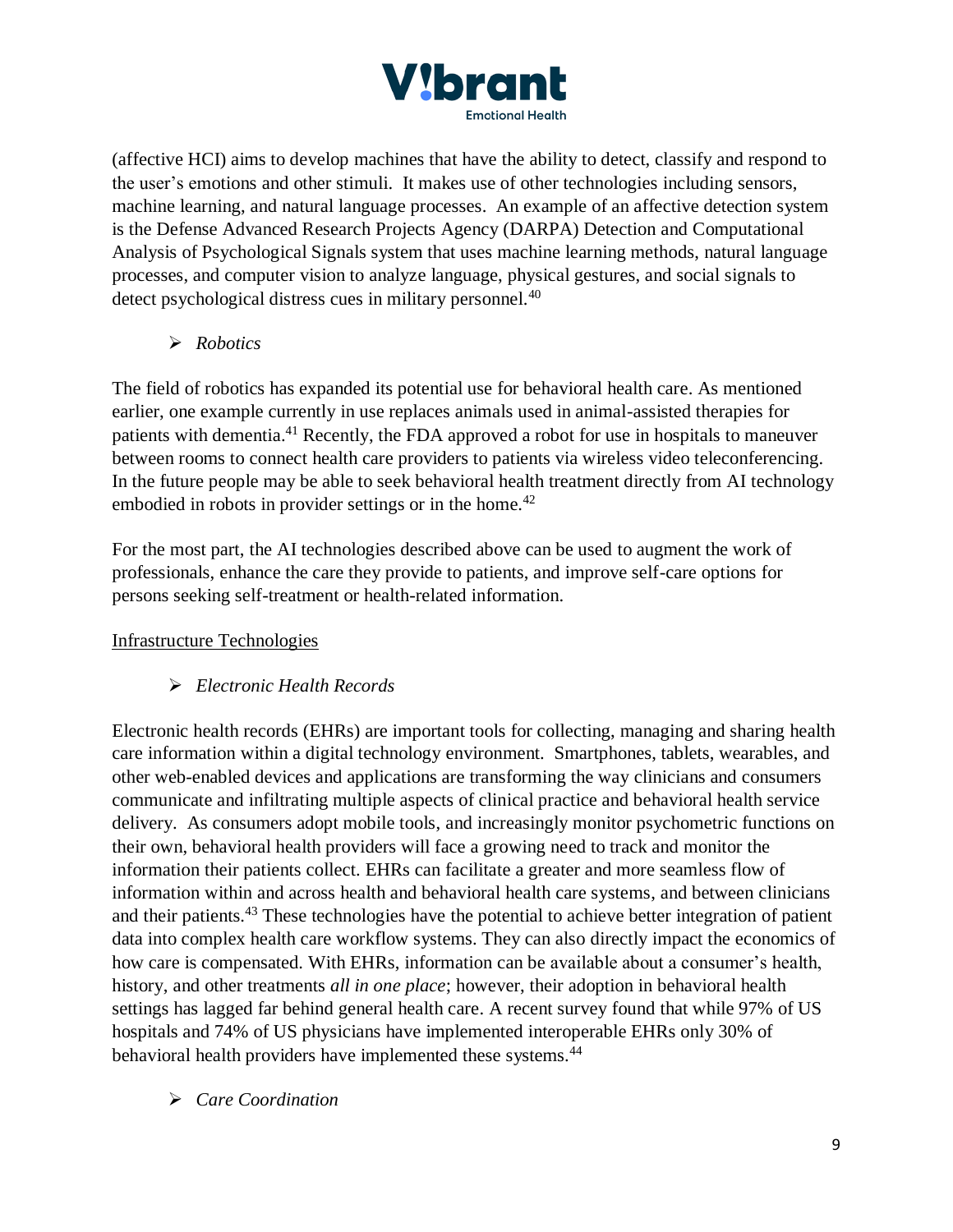

(affective HCI) aims to develop machines that have the ability to detect, classify and respond to the user's emotions and other stimuli. It makes use of other technologies including sensors, machine learning, and natural language processes. An example of an affective detection system is the Defense Advanced Research Projects Agency (DARPA) Detection and Computational Analysis of Psychological Signals system that uses machine learning methods, natural language processes, and computer vision to analyze language, physical gestures, and social signals to detect psychological distress cues in military personnel.<sup>40</sup>

➢ *Robotics*

The field of robotics has expanded its potential use for behavioral health care. As mentioned earlier, one example currently in use replaces animals used in animal-assisted therapies for patients with dementia.<sup>41</sup> Recently, the FDA approved a robot for use in hospitals to maneuver between rooms to connect health care providers to patients via wireless video teleconferencing. In the future people may be able to seek behavioral health treatment directly from AI technology embodied in robots in provider settings or in the home.<sup>42</sup>

For the most part, the AI technologies described above can be used to augment the work of professionals, enhance the care they provide to patients, and improve self-care options for persons seeking self-treatment or health-related information.

Infrastructure Technologies

# ➢ *Electronic Health Records*

Electronic health records (EHRs) are important tools for collecting, managing and sharing health care information within a digital technology environment. Smartphones, tablets, wearables, and other web-enabled devices and applications are transforming the way clinicians and consumers communicate and infiltrating multiple aspects of clinical practice and behavioral health service delivery. As consumers adopt mobile tools, and increasingly monitor psychometric functions on their own, behavioral health providers will face a growing need to track and monitor the information their patients collect. EHRs can facilitate a greater and more seamless flow of information within and across health and behavioral health care systems, and between clinicians and their patients.<sup>43</sup> These technologies have the potential to achieve better integration of patient data into complex health care workflow systems. They can also directly impact the economics of how care is compensated. With EHRs, information can be available about a consumer's health, history, and other treatments *all in one place*; however, their adoption in behavioral health settings has lagged far behind general health care. A recent survey found that while 97% of US hospitals and 74% of US physicians have implemented interoperable EHRs only 30% of behavioral health providers have implemented these systems.<sup>44</sup>

➢ *Care Coordination*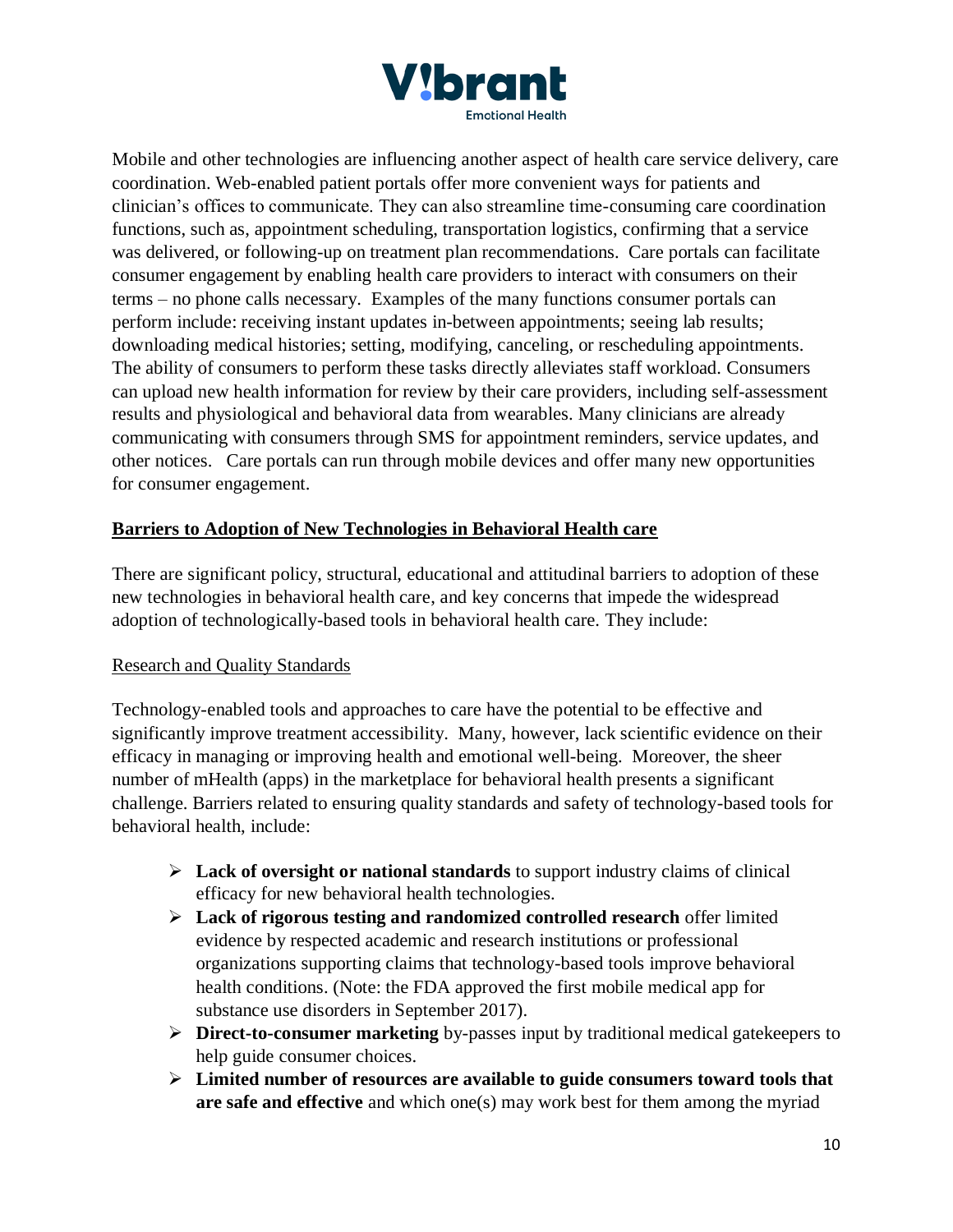

Mobile and other technologies are influencing another aspect of health care service delivery, care coordination. Web-enabled patient portals offer more convenient ways for patients and clinician's offices to communicate. They can also streamline time-consuming care coordination functions, such as, appointment scheduling, transportation logistics, confirming that a service was delivered, or following-up on treatment plan recommendations. Care portals can facilitate consumer engagement by enabling health care providers to interact with consumers on their terms – no phone calls necessary. Examples of the many functions consumer portals can perform include: receiving instant updates in-between appointments; seeing lab results; downloading medical histories; setting, modifying, canceling, or rescheduling appointments. The ability of consumers to perform these tasks directly alleviates staff workload. Consumers can upload new health information for review by their care providers, including self-assessment results and physiological and behavioral data from wearables. Many clinicians are already communicating with consumers through SMS for appointment reminders, service updates, and other notices. Care portals can run through mobile devices and offer many new opportunities for consumer engagement.

## **Barriers to Adoption of New Technologies in Behavioral Health care**

There are significant policy, structural, educational and attitudinal barriers to adoption of these new technologies in behavioral health care, and key concerns that impede the widespread adoption of technologically-based tools in behavioral health care. They include:

#### Research and Quality Standards

Technology-enabled tools and approaches to care have the potential to be effective and significantly improve treatment accessibility. Many, however, lack scientific evidence on their efficacy in managing or improving health and emotional well-being. Moreover, the sheer number of mHealth (apps) in the marketplace for behavioral health presents a significant challenge. Barriers related to ensuring quality standards and safety of technology-based tools for behavioral health, include:

- ➢ **Lack of oversight or national standards** to support industry claims of clinical efficacy for new behavioral health technologies.
- ➢ **Lack of rigorous testing and randomized controlled research** offer limited evidence by respected academic and research institutions or professional organizations supporting claims that technology-based tools improve behavioral health conditions. (Note: the FDA approved the first mobile medical app for substance use disorders in September 2017).
- ➢ **Direct-to-consumer marketing** by-passes input by traditional medical gatekeepers to help guide consumer choices.
- ➢ **Limited number of resources are available to guide consumers toward tools that are safe and effective** and which one(s) may work best for them among the myriad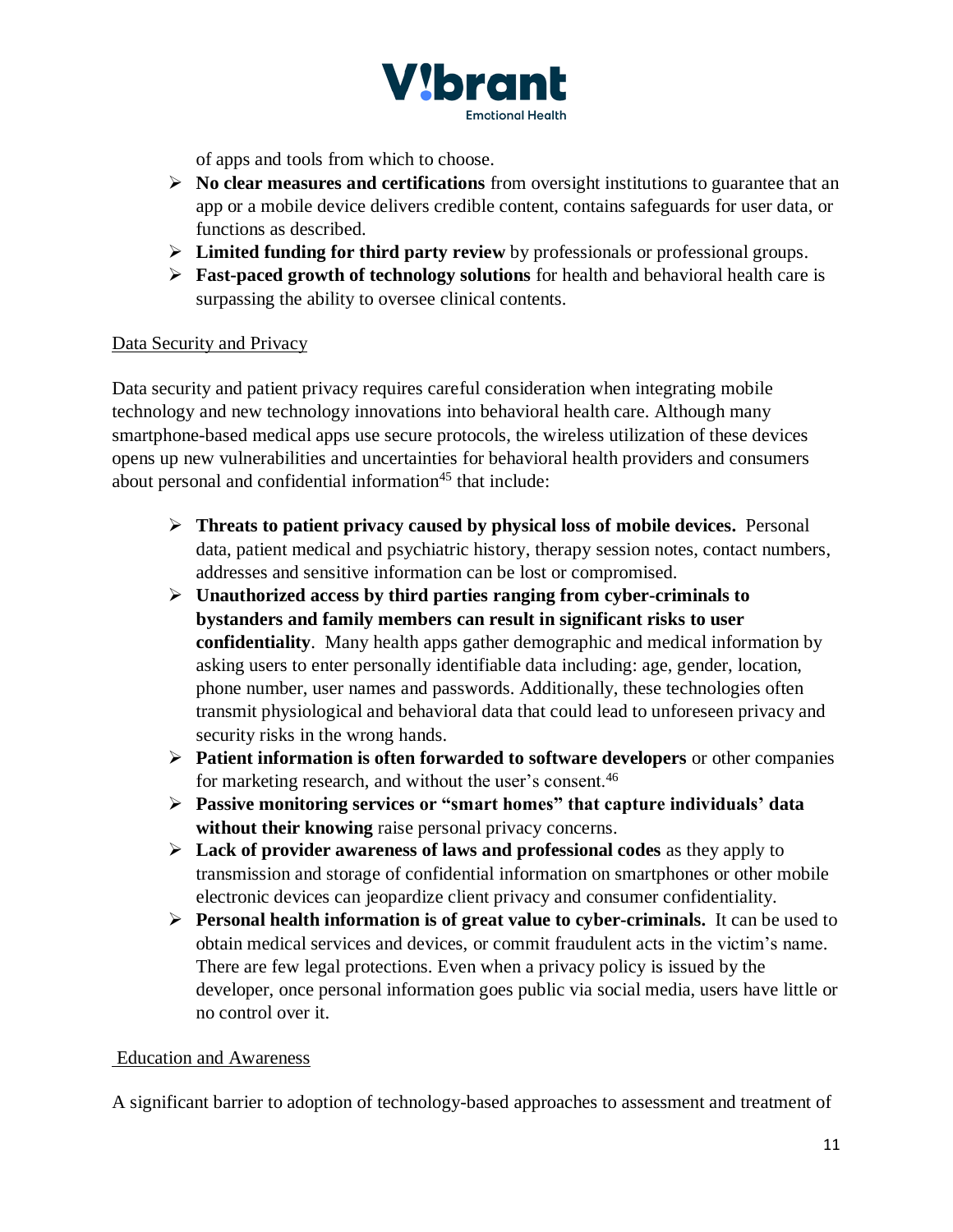

of apps and tools from which to choose.

- ➢ **No clear measures and certifications** from oversight institutions to guarantee that an app or a mobile device delivers credible content, contains safeguards for user data, or functions as described.
- ➢ **Limited funding for third party review** by professionals or professional groups.
- ➢ **Fast-paced growth of technology solutions** for health and behavioral health care is surpassing the ability to oversee clinical contents.

## Data Security and Privacy

Data security and patient privacy requires careful consideration when integrating mobile technology and new technology innovations into behavioral health care. Although many smartphone-based medical apps use secure protocols, the wireless utilization of these devices opens up new vulnerabilities and uncertainties for behavioral health providers and consumers about personal and confidential information<sup>45</sup> that include:

- ➢ **Threats to patient privacy caused by physical loss of mobile devices.** Personal data, patient medical and psychiatric history, therapy session notes, contact numbers, addresses and sensitive information can be lost or compromised.
- ➢ **Unauthorized access by third parties ranging from cyber-criminals to bystanders and family members can result in significant risks to user confidentiality**. Many health apps gather demographic and medical information by asking users to enter personally identifiable data including: age, gender, location, phone number, user names and passwords. Additionally, these technologies often transmit physiological and behavioral data that could lead to unforeseen privacy and security risks in the wrong hands.
- ➢ **Patient information is often forwarded to software developers** or other companies for marketing research, and without the user's consent.<sup>46</sup>
- ➢ **Passive monitoring services or "smart homes" that capture individuals' data without their knowing** raise personal privacy concerns.
- ➢ **Lack of provider awareness of laws and professional codes** as they apply to transmission and storage of confidential information on smartphones or other mobile electronic devices can jeopardize client privacy and consumer confidentiality.
- ➢ **Personal health information is of great value to cyber-criminals.** It can be used to obtain medical services and devices, or commit fraudulent acts in the victim's name. There are few legal protections. Even when a privacy policy is issued by the developer, once personal information goes public via social media, users have little or no control over it.

#### Education and Awareness

A significant barrier to adoption of technology-based approaches to assessment and treatment of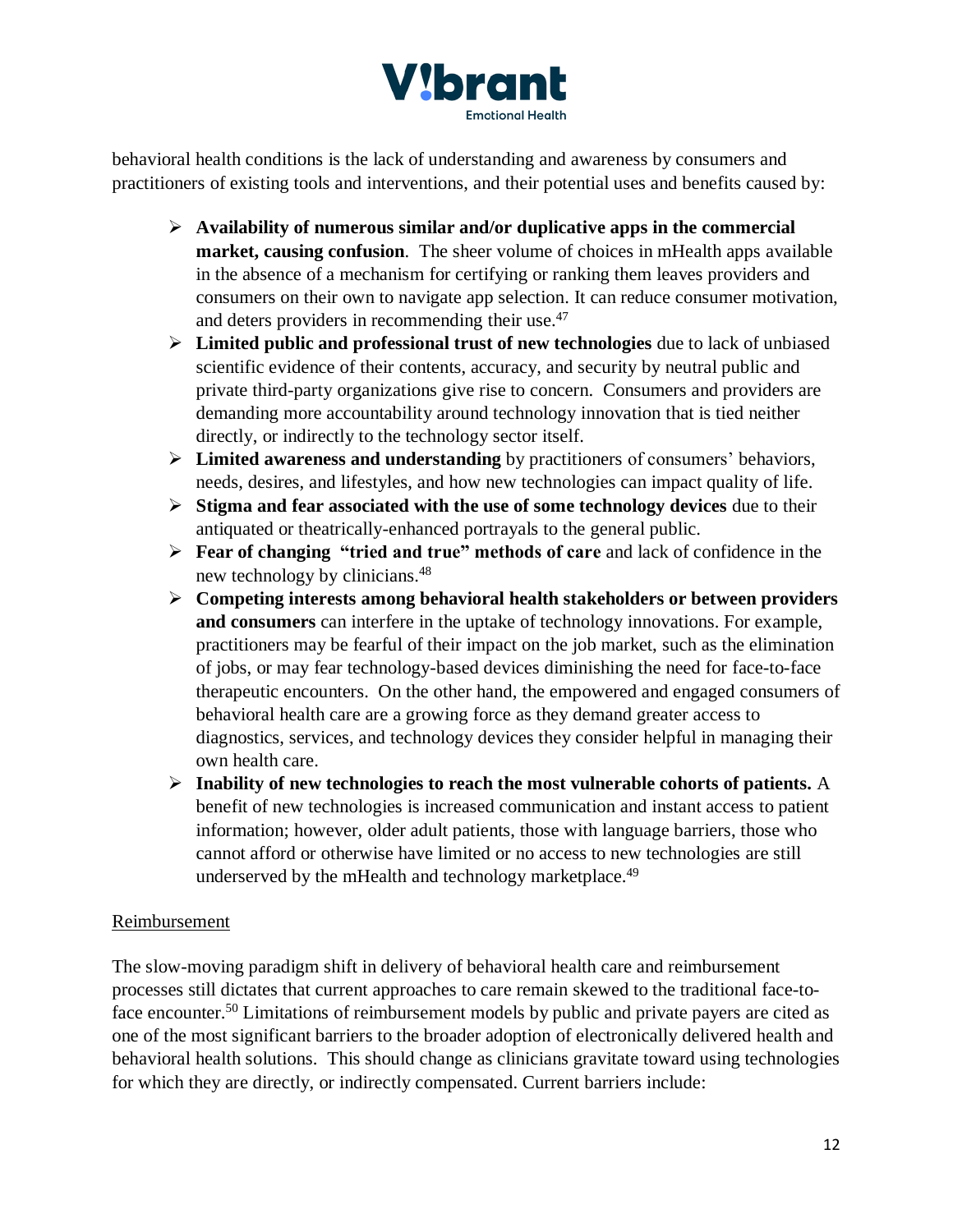

behavioral health conditions is the lack of understanding and awareness by consumers and practitioners of existing tools and interventions, and their potential uses and benefits caused by:

- ➢ **Availability of numerous similar and/or duplicative apps in the commercial market, causing confusion**. The sheer volume of choices in mHealth apps available in the absence of a mechanism for certifying or ranking them leaves providers and consumers on their own to navigate app selection. It can reduce consumer motivation, and deters providers in recommending their use.<sup>47</sup>
- ➢ **Limited public and professional trust of new technologies** due to lack of unbiased scientific evidence of their contents, accuracy, and security by neutral public and private third-party organizations give rise to concern. Consumers and providers are demanding more accountability around technology innovation that is tied neither directly, or indirectly to the technology sector itself.
- ➢ **Limited awareness and understanding** by practitioners of consumers' behaviors, needs, desires, and lifestyles, and how new technologies can impact quality of life.
- ➢ **Stigma and fear associated with the use of some technology devices** due to their antiquated or theatrically-enhanced portrayals to the general public.
- ➢ **Fear of changing "tried and true" methods of care** and lack of confidence in the new technology by clinicians.<sup>48</sup>
- ➢ **Competing interests among behavioral health stakeholders or between providers and consumers** can interfere in the uptake of technology innovations. For example, practitioners may be fearful of their impact on the job market, such as the elimination of jobs, or may fear technology-based devices diminishing the need for face-to-face therapeutic encounters. On the other hand, the empowered and engaged consumers of behavioral health care are a growing force as they demand greater access to diagnostics, services, and technology devices they consider helpful in managing their own health care.
- ➢ **Inability of new technologies to reach the most vulnerable cohorts of patients.** A benefit of new technologies is increased communication and instant access to patient information; however, older adult patients, those with language barriers, those who cannot afford or otherwise have limited or no access to new technologies are still underserved by the mHealth and technology marketplace.<sup>49</sup>

# Reimbursement

The slow-moving paradigm shift in delivery of behavioral health care and reimbursement processes still dictates that current approaches to care remain skewed to the traditional face-toface encounter.<sup>50</sup> Limitations of reimbursement models by public and private payers are cited as one of the most significant barriers to the broader adoption of electronically delivered health and behavioral health solutions. This should change as clinicians gravitate toward using technologies for which they are directly, or indirectly compensated. Current barriers include: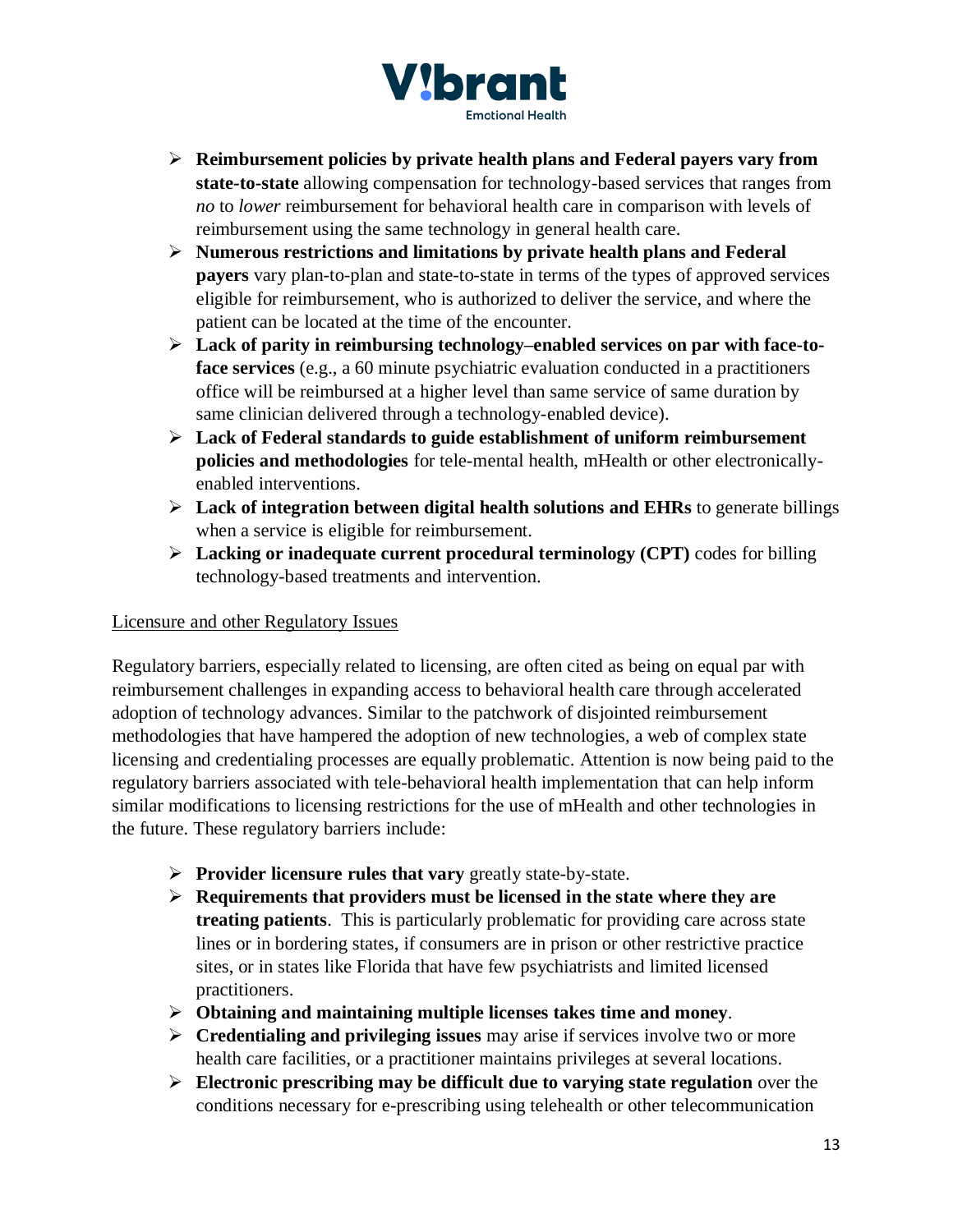

- ➢ **Reimbursement policies by private health plans and Federal payers vary from state-to-state** allowing compensation for technology-based services that ranges from *no* to *lower* reimbursement for behavioral health care in comparison with levels of reimbursement using the same technology in general health care.
- ➢ **Numerous restrictions and limitations by private health plans and Federal payers** vary plan-to-plan and state-to-state in terms of the types of approved services eligible for reimbursement, who is authorized to deliver the service, and where the patient can be located at the time of the encounter.
- ➢ **Lack of parity in reimbursing technology–enabled services on par with face-toface services** (e.g., a 60 minute psychiatric evaluation conducted in a practitioners office will be reimbursed at a higher level than same service of same duration by same clinician delivered through a technology-enabled device).
- ➢ **Lack of Federal standards to guide establishment of uniform reimbursement policies and methodologies** for tele-mental health, mHealth or other electronicallyenabled interventions.
- ➢ **Lack of integration between digital health solutions and EHRs** to generate billings when a service is eligible for reimbursement.
- ➢ **Lacking or inadequate current procedural terminology (CPT)** codes for billing technology-based treatments and intervention.

# Licensure and other Regulatory Issues

Regulatory barriers, especially related to licensing, are often cited as being on equal par with reimbursement challenges in expanding access to behavioral health care through accelerated adoption of technology advances. Similar to the patchwork of disjointed reimbursement methodologies that have hampered the adoption of new technologies, a web of complex state licensing and credentialing processes are equally problematic. Attention is now being paid to the regulatory barriers associated with tele-behavioral health implementation that can help inform similar modifications to licensing restrictions for the use of mHealth and other technologies in the future. These regulatory barriers include:

- ➢ **Provider licensure rules that vary** greatly state-by-state.
- ➢ **Requirements that providers must be licensed in the state where they are treating patients**. This is particularly problematic for providing care across state lines or in bordering states, if consumers are in prison or other restrictive practice sites, or in states like Florida that have few psychiatrists and limited licensed practitioners.
- ➢ **Obtaining and maintaining multiple licenses takes time and money**.
- ➢ **Credentialing and privileging issues** may arise if services involve two or more health care facilities, or a practitioner maintains privileges at several locations.
- ➢ **Electronic prescribing may be difficult due to varying state regulation** over the conditions necessary for e-prescribing using telehealth or other telecommunication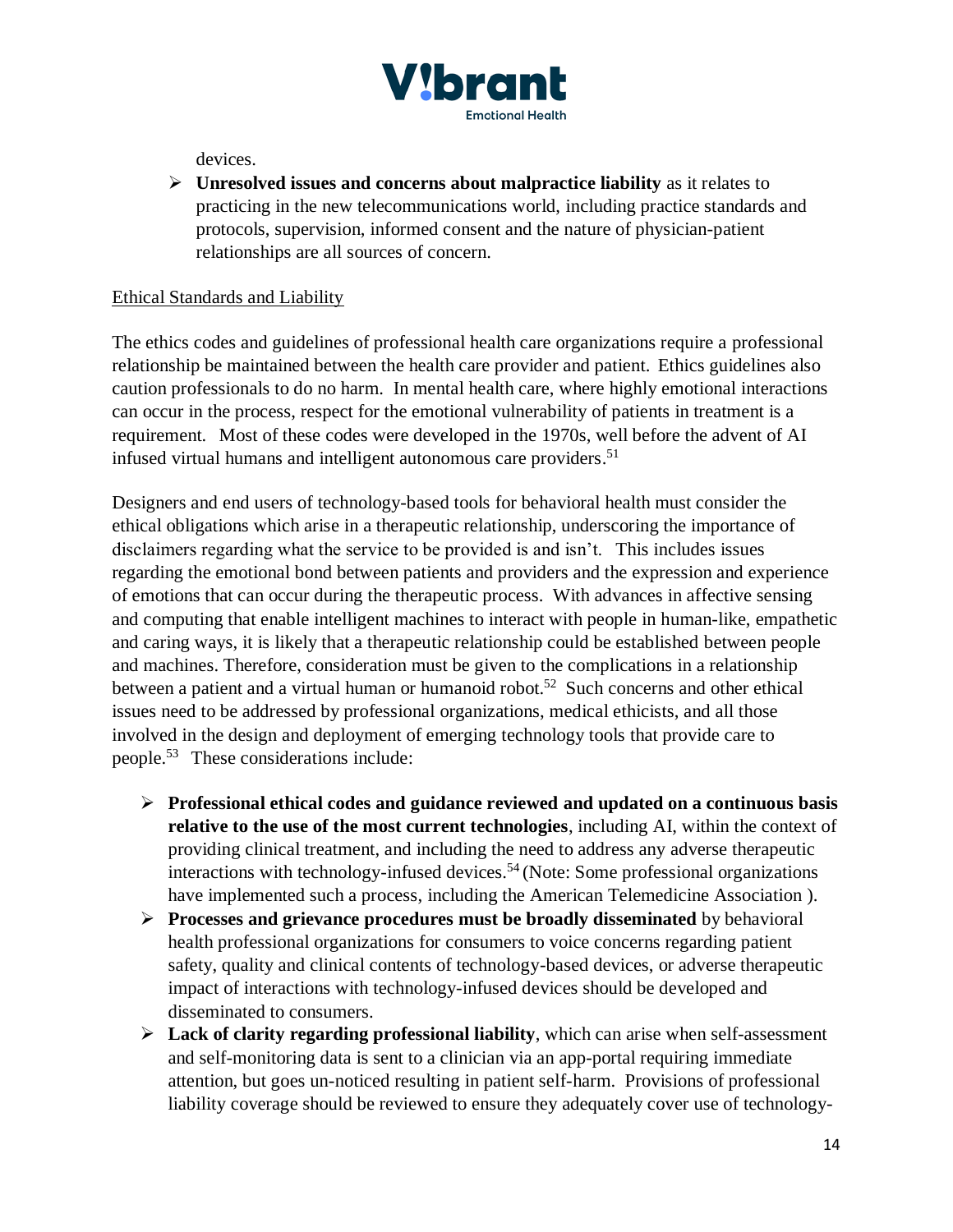

devices.

➢ **Unresolved issues and concerns about malpractice liability** as it relates to practicing in the new telecommunications world, including practice standards and protocols, supervision, informed consent and the nature of physician-patient relationships are all sources of concern.

#### Ethical Standards and Liability

The ethics codes and guidelines of professional health care organizations require a professional relationship be maintained between the health care provider and patient. Ethics guidelines also caution professionals to do no harm. In mental health care, where highly emotional interactions can occur in the process, respect for the emotional vulnerability of patients in treatment is a requirement. Most of these codes were developed in the 1970s, well before the advent of AI infused virtual humans and intelligent autonomous care providers. 51

Designers and end users of technology-based tools for behavioral health must consider the ethical obligations which arise in a therapeutic relationship, underscoring the importance of disclaimers regarding what the service to be provided is and isn't. This includes issues regarding the emotional bond between patients and providers and the expression and experience of emotions that can occur during the therapeutic process. With advances in affective sensing and computing that enable intelligent machines to interact with people in human-like, empathetic and caring ways, it is likely that a therapeutic relationship could be established between people and machines. Therefore, consideration must be given to the complications in a relationship between a patient and a virtual human or humanoid robot.<sup>52</sup> Such concerns and other ethical issues need to be addressed by professional organizations, medical ethicists, and all those involved in the design and deployment of emerging technology tools that provide care to people.<sup>53</sup> These considerations include:

- ➢ **Professional ethical codes and guidance reviewed and updated on a continuous basis relative to the use of the most current technologies**, including AI, within the context of providing clinical treatment, and including the need to address any adverse therapeutic interactions with technology-infused devices.<sup>54</sup> (Note: Some professional organizations have implemented such a process, including the American Telemedicine Association ).
- ➢ **Processes and grievance procedures must be broadly disseminated** by behavioral health professional organizations for consumers to voice concerns regarding patient safety, quality and clinical contents of technology-based devices, or adverse therapeutic impact of interactions with technology-infused devices should be developed and disseminated to consumers.
- ➢ **Lack of clarity regarding professional liability**, which can arise when self-assessment and self-monitoring data is sent to a clinician via an app-portal requiring immediate attention, but goes un-noticed resulting in patient self-harm. Provisions of professional liability coverage should be reviewed to ensure they adequately cover use of technology-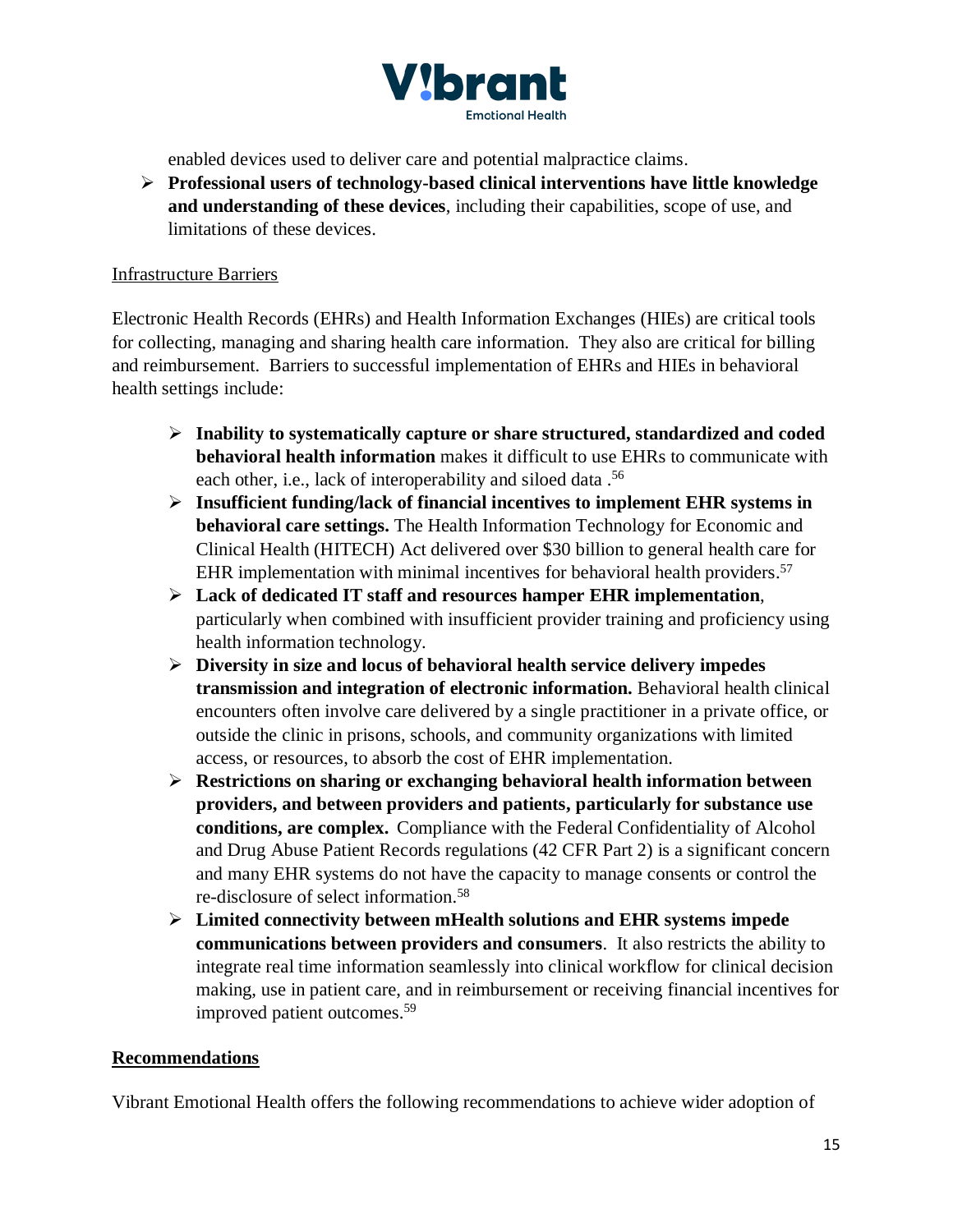

enabled devices used to deliver care and potential malpractice claims.

➢ **Professional users of technology-based clinical interventions have little knowledge and understanding of these devices**, including their capabilities, scope of use, and limitations of these devices.

#### Infrastructure Barriers

Electronic Health Records (EHRs) and Health Information Exchanges (HIEs) are critical tools for collecting, managing and sharing health care information. They also are critical for billing and reimbursement. Barriers to successful implementation of EHRs and HIEs in behavioral health settings include:

- ➢ **Inability to systematically capture or share structured, standardized and coded behavioral health information** makes it difficult to use EHRs to communicate with each other, i.e., lack of interoperability and siloed data .<sup>56</sup>
- ➢ **Insufficient funding/lack of financial incentives to implement EHR systems in behavioral care settings.** The Health Information Technology for Economic and Clinical Health (HITECH) Act delivered over \$30 billion to general health care for EHR implementation with minimal incentives for behavioral health providers.<sup>57</sup>
- ➢ **Lack of dedicated IT staff and resources hamper EHR implementation**, particularly when combined with insufficient provider training and proficiency using health information technology.
- ➢ **Diversity in size and locus of behavioral health service delivery impedes transmission and integration of electronic information.** Behavioral health clinical encounters often involve care delivered by a single practitioner in a private office, or outside the clinic in prisons, schools, and community organizations with limited access, or resources, to absorb the cost of EHR implementation.
- ➢ **Restrictions on sharing or exchanging behavioral health information between providers, and between providers and patients, particularly for substance use conditions, are complex.** Compliance with the Federal Confidentiality of Alcohol and Drug Abuse Patient Records regulations (42 CFR Part 2) is a significant concern and many EHR systems do not have the capacity to manage consents or control the re-disclosure of select information.<sup>58</sup>
- ➢ **Limited connectivity between mHealth solutions and EHR systems impede communications between providers and consumers**. It also restricts the ability to integrate real time information seamlessly into clinical workflow for clinical decision making, use in patient care, and in reimbursement or receiving financial incentives for improved patient outcomes.<sup>59</sup>

#### **Recommendations**

Vibrant Emotional Health offers the following recommendations to achieve wider adoption of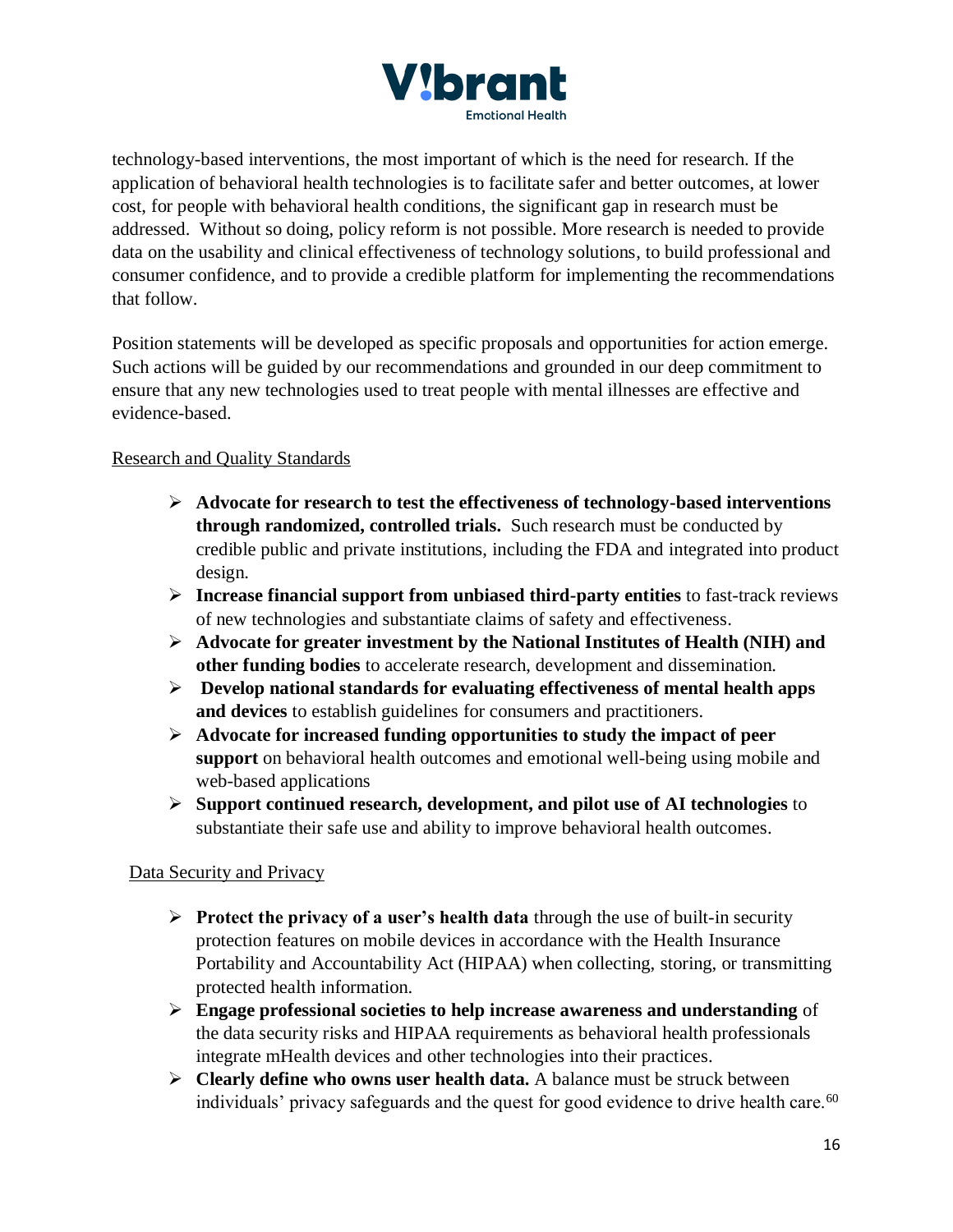

technology-based interventions, the most important of which is the need for research. If the application of behavioral health technologies is to facilitate safer and better outcomes, at lower cost, for people with behavioral health conditions, the significant gap in research must be addressed. Without so doing, policy reform is not possible. More research is needed to provide data on the usability and clinical effectiveness of technology solutions, to build professional and consumer confidence, and to provide a credible platform for implementing the recommendations that follow.

Position statements will be developed as specific proposals and opportunities for action emerge. Such actions will be guided by our recommendations and grounded in our deep commitment to ensure that any new technologies used to treat people with mental illnesses are effective and evidence-based.

## Research and Quality Standards

- ➢ **Advocate for research to test the effectiveness of technology-based interventions through randomized, controlled trials.** Such research must be conducted by credible public and private institutions, including the FDA and integrated into product design.
- ➢ **Increase financial support from unbiased third-party entities** to fast-track reviews of new technologies and substantiate claims of safety and effectiveness.
- ➢ **Advocate for greater investment by the National Institutes of Health (NIH) and other funding bodies** to accelerate research, development and dissemination.
- ➢ **Develop national standards for evaluating effectiveness of mental health apps and devices** to establish guidelines for consumers and practitioners.
- ➢ **Advocate for increased funding opportunities to study the impact of peer support** on behavioral health outcomes and emotional well-being using mobile and web-based applications
- ➢ **Support continued research, development, and pilot use of AI technologies** to substantiate their safe use and ability to improve behavioral health outcomes.

#### Data Security and Privacy

- ➢ **Protect the privacy of a user's health data** through the use of built-in security protection features on mobile devices in accordance with the Health Insurance Portability and Accountability Act (HIPAA) when collecting, storing, or transmitting protected health information.
- ➢ **Engage professional societies to help increase awareness and understanding** of the data security risks and HIPAA requirements as behavioral health professionals integrate mHealth devices and other technologies into their practices.
- ➢ **Clearly define who owns user health data.** A balance must be struck between individuals' privacy safeguards and the quest for good evidence to drive health care.<sup>60</sup>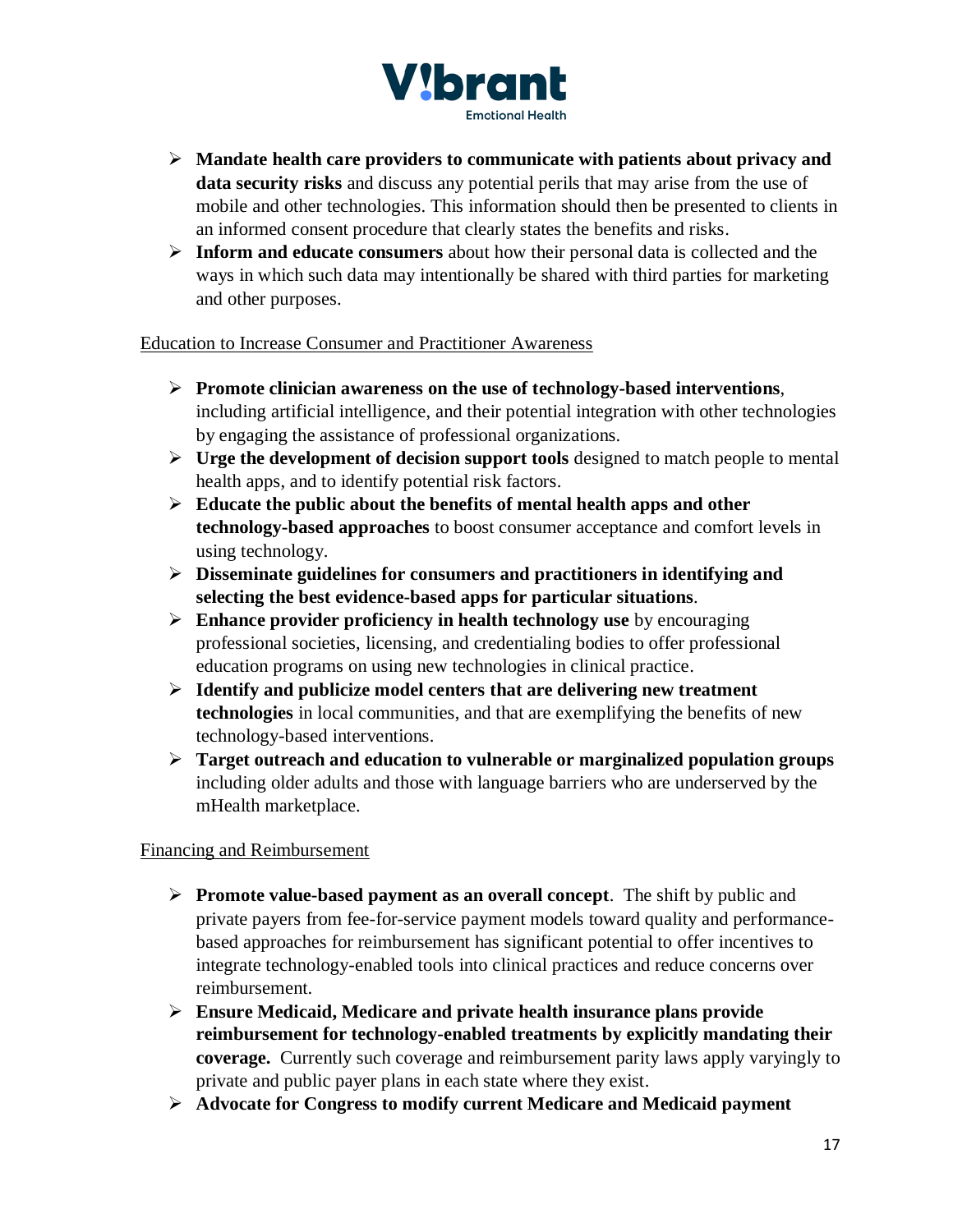

- ➢ **Mandate health care providers to communicate with patients about privacy and data security risks** and discuss any potential perils that may arise from the use of mobile and other technologies. This information should then be presented to clients in an informed consent procedure that clearly states the benefits and risks.
- ➢ **Inform and educate consumers** about how their personal data is collected and the ways in which such data may intentionally be shared with third parties for marketing and other purposes.

Education to Increase Consumer and Practitioner Awareness

- ➢ **Promote clinician awareness on the use of technology-based interventions**, including artificial intelligence, and their potential integration with other technologies by engaging the assistance of professional organizations.
- ➢ **Urge the development of decision support tools** designed to match people to mental health apps, and to identify potential risk factors.
- ➢ **Educate the public about the benefits of mental health apps and other technology-based approaches** to boost consumer acceptance and comfort levels in using technology.
- ➢ **Disseminate guidelines for consumers and practitioners in identifying and selecting the best evidence-based apps for particular situations**.
- ➢ **Enhance provider proficiency in health technology use** by encouraging professional societies, licensing, and credentialing bodies to offer professional education programs on using new technologies in clinical practice.
- ➢ **Identify and publicize model centers that are delivering new treatment technologies** in local communities, and that are exemplifying the benefits of new technology-based interventions.
- ➢ **Target outreach and education to vulnerable or marginalized population groups** including older adults and those with language barriers who are underserved by the mHealth marketplace.

Financing and Reimbursement

- ➢ **Promote value-based payment as an overall concept**. The shift by public and private payers from fee-for-service payment models toward quality and performancebased approaches for reimbursement has significant potential to offer incentives to integrate technology-enabled tools into clinical practices and reduce concerns over reimbursement.
- ➢ **Ensure Medicaid, Medicare and private health insurance plans provide reimbursement for technology-enabled treatments by explicitly mandating their coverage.** Currently such coverage and reimbursement parity laws apply varyingly to private and public payer plans in each state where they exist.
- ➢ **Advocate for Congress to modify current Medicare and Medicaid payment**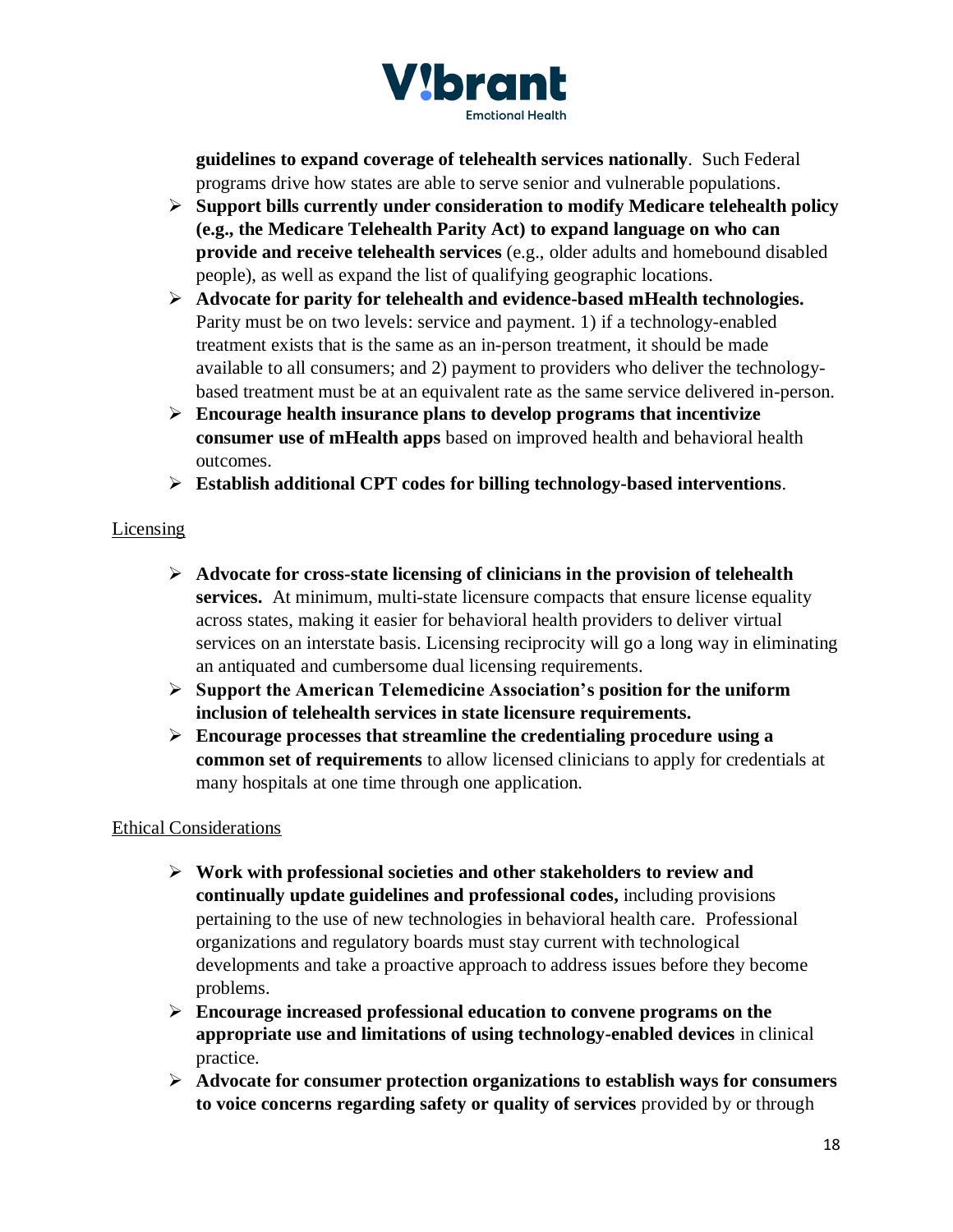

**guidelines to expand coverage of telehealth services nationally**. Such Federal programs drive how states are able to serve senior and vulnerable populations.

- ➢ **Support bills currently under consideration to modify Medicare telehealth policy (e.g., the Medicare Telehealth Parity Act) to expand language on who can provide and receive telehealth services** (e.g., older adults and homebound disabled people), as well as expand the list of qualifying geographic locations.
- ➢ **Advocate for parity for telehealth and evidence-based mHealth technologies.**  Parity must be on two levels: service and payment. 1) if a technology-enabled treatment exists that is the same as an in-person treatment, it should be made available to all consumers; and 2) payment to providers who deliver the technologybased treatment must be at an equivalent rate as the same service delivered in-person.
- ➢ **Encourage health insurance plans to develop programs that incentivize consumer use of mHealth apps** based on improved health and behavioral health outcomes.
- ➢ **Establish additional CPT codes for billing technology-based interventions**.

# **Licensing**

- ➢ **Advocate for cross-state licensing of clinicians in the provision of telehealth services.** At minimum, multi-state licensure compacts that ensure license equality across states, making it easier for behavioral health providers to deliver virtual services on an interstate basis. Licensing reciprocity will go a long way in eliminating an antiquated and cumbersome dual licensing requirements.
- ➢ **Support the American Telemedicine Association's position for the uniform inclusion of telehealth services in state licensure requirements.**
- ➢ **Encourage processes that streamline the credentialing procedure using a common set of requirements** to allow licensed clinicians to apply for credentials at many hospitals at one time through one application.

# Ethical Considerations

- ➢ **Work with professional societies and other stakeholders to review and continually update guidelines and professional codes,** including provisions pertaining to the use of new technologies in behavioral health care. Professional organizations and regulatory boards must stay current with technological developments and take a proactive approach to address issues before they become problems.
- ➢ **Encourage increased professional education to convene programs on the appropriate use and limitations of using technology-enabled devices** in clinical practice.
- ➢ **Advocate for consumer protection organizations to establish ways for consumers to voice concerns regarding safety or quality of services** provided by or through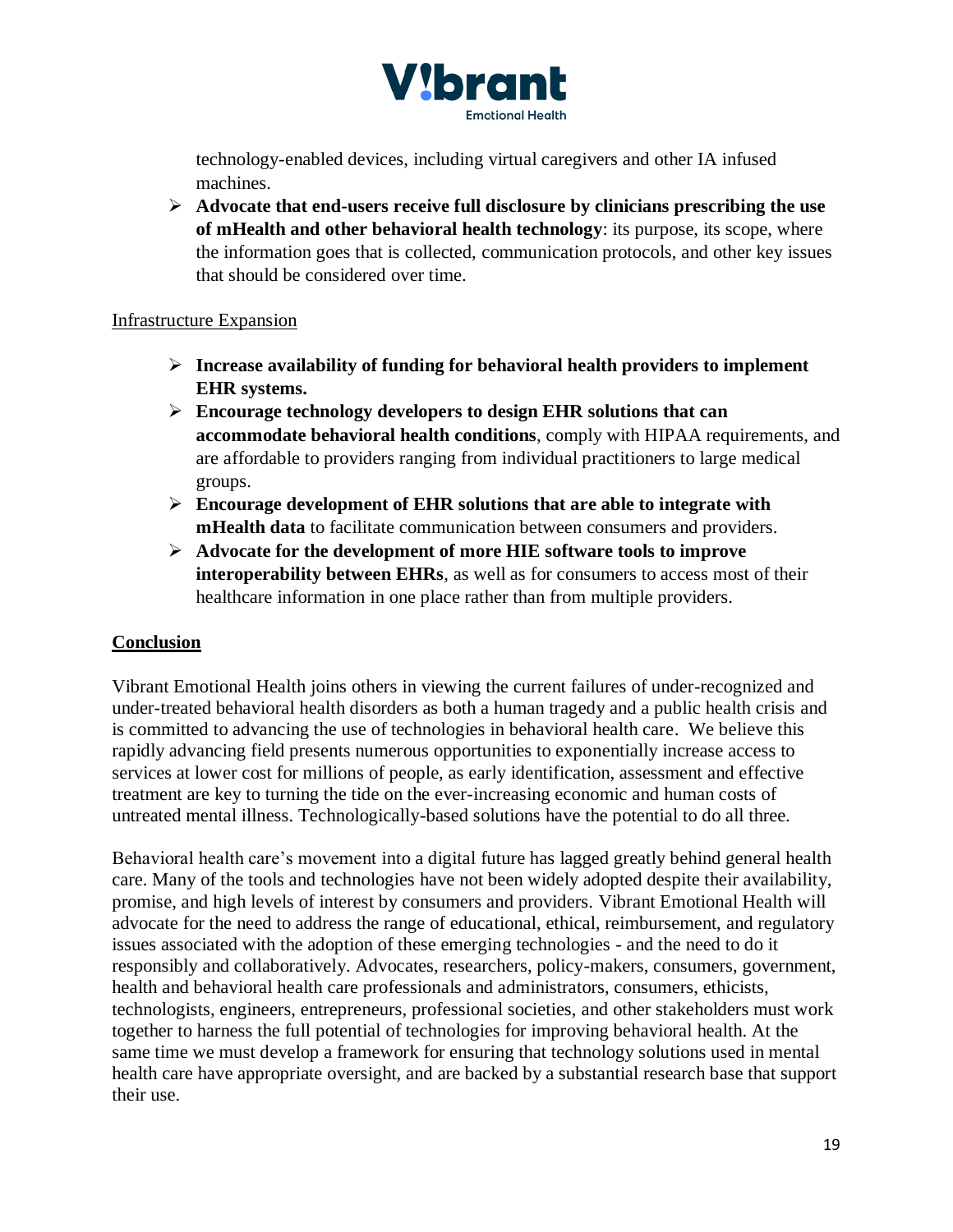

technology-enabled devices, including virtual caregivers and other IA infused machines.

➢ **Advocate that end-users receive full disclosure by clinicians prescribing the use of mHealth and other behavioral health technology**: its purpose, its scope, where the information goes that is collected, communication protocols, and other key issues that should be considered over time.

#### Infrastructure Expansion

- ➢ **Increase availability of funding for behavioral health providers to implement EHR systems.**
- ➢ **Encourage technology developers to design EHR solutions that can accommodate behavioral health conditions**, comply with HIPAA requirements, and are affordable to providers ranging from individual practitioners to large medical groups.
- ➢ **Encourage development of EHR solutions that are able to integrate with mHealth data** to facilitate communication between consumers and providers.
- ➢ **Advocate for the development of more HIE software tools to improve interoperability between EHRs**, as well as for consumers to access most of their healthcare information in one place rather than from multiple providers.

#### **Conclusion**

Vibrant Emotional Health joins others in viewing the current failures of under-recognized and under-treated behavioral health disorders as both a human tragedy and a public health crisis and is committed to advancing the use of technologies in behavioral health care. We believe this rapidly advancing field presents numerous opportunities to exponentially increase access to services at lower cost for millions of people, as early identification, assessment and effective treatment are key to turning the tide on the ever-increasing economic and human costs of untreated mental illness. Technologically-based solutions have the potential to do all three.

Behavioral health care's movement into a digital future has lagged greatly behind general health care. Many of the tools and technologies have not been widely adopted despite their availability, promise, and high levels of interest by consumers and providers. Vibrant Emotional Health will advocate for the need to address the range of educational, ethical, reimbursement, and regulatory issues associated with the adoption of these emerging technologies - and the need to do it responsibly and collaboratively. Advocates, researchers, policy-makers, consumers, government, health and behavioral health care professionals and administrators, consumers, ethicists, technologists, engineers, entrepreneurs, professional societies, and other stakeholders must work together to harness the full potential of technologies for improving behavioral health. At the same time we must develop a framework for ensuring that technology solutions used in mental health care have appropriate oversight, and are backed by a substantial research base that support their use.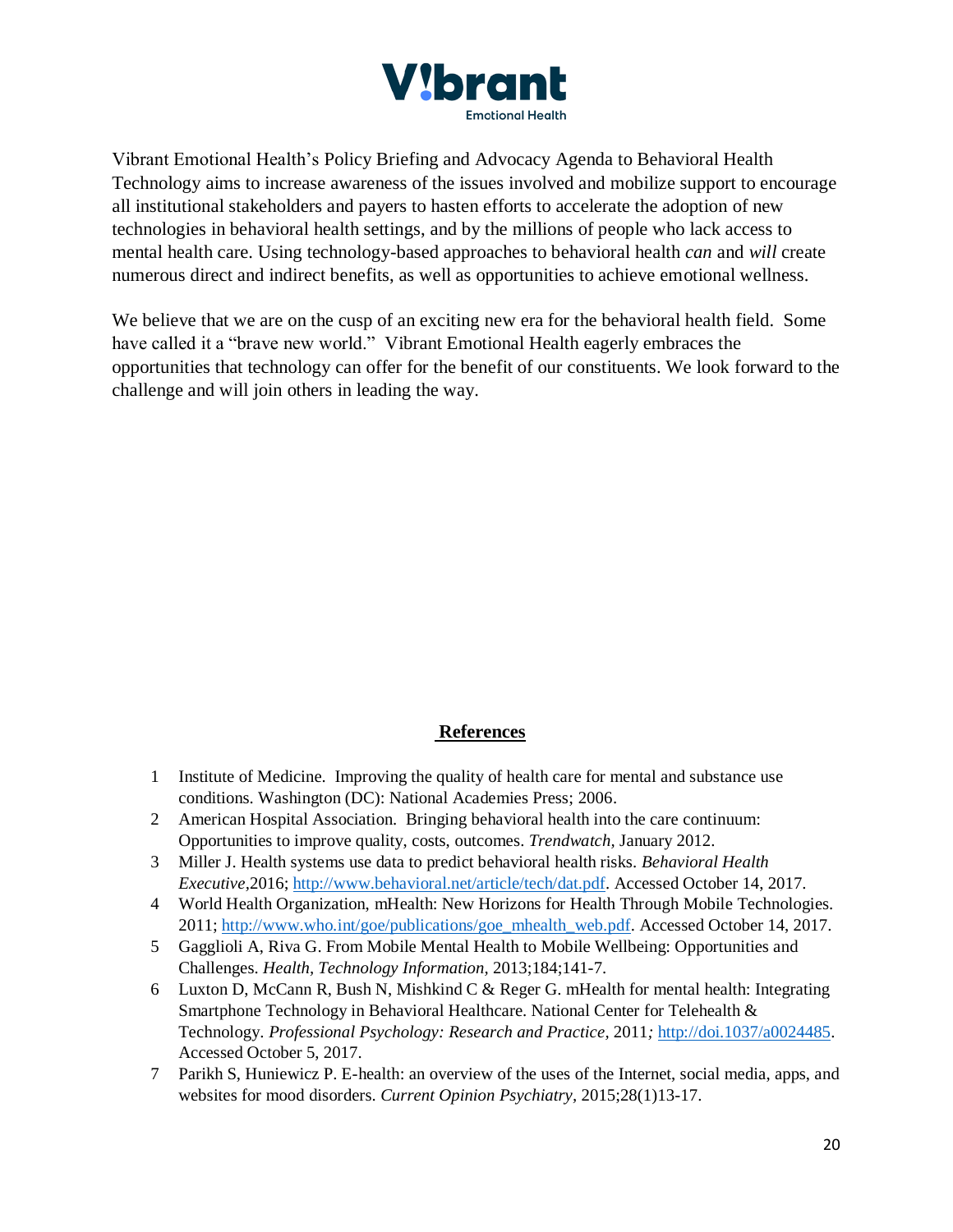

Vibrant Emotional Health's Policy Briefing and Advocacy Agenda to Behavioral Health Technology aims to increase awareness of the issues involved and mobilize support to encourage all institutional stakeholders and payers to hasten efforts to accelerate the adoption of new technologies in behavioral health settings, and by the millions of people who lack access to mental health care. Using technology-based approaches to behavioral health *can* and *will* create numerous direct and indirect benefits, as well as opportunities to achieve emotional wellness.

We believe that we are on the cusp of an exciting new era for the behavioral health field. Some have called it a "brave new world." Vibrant Emotional Health eagerly embraces the opportunities that technology can offer for the benefit of our constituents. We look forward to the challenge and will join others in leading the way.

#### **References**

- 1 Institute of Medicine. Improving the quality of health care for mental and substance use conditions. Washington (DC): National Academies Press; 2006.
- 2 American Hospital Association. Bringing behavioral health into the care continuum: Opportunities to improve quality, costs, outcomes. *Trendwatch,* January 2012.
- 3 Miller J. Health systems use data to predict behavioral health risks. *Behavioral Health Executive,*2016; [http://www.behavioral.net/article/tech/dat.pdf.](http://www.behavioral.net/article/tech/dat.pdf) Accessed October 14, 2017.
- 4 World Health Organization, mHealth: New Horizons for Health Through Mobile Technologies. 2011; [http://www.who.int/goe/publications/goe\\_mhealth\\_web.pdf.](http://www.who.int/goe/publications/goe_mhealth_web.pdf) Accessed October 14, 2017.
- 5 Gagglioli A, Riva G. From Mobile Mental Health to Mobile Wellbeing: Opportunities and Challenges. *Health, Technology Information,* 2013;184;141-7.
- 6 Luxton D, McCann R, Bush N, Mishkind C & Reger G. mHealth for mental health: Integrating Smartphone Technology in Behavioral Healthcare. National Center for Telehealth & Technology. *Professional Psychology: Research and Practice,* 2011*;* [http://doi.1037/a0024485.](http://doi.1037/a0024485) Accessed October 5, 2017.
- 7 Parikh S, Huniewicz P. E-health: an overview of the uses of the Internet, social media, apps, and websites for mood disorders. *Current Opinion Psychiatry,* 2015;28(1)13-17.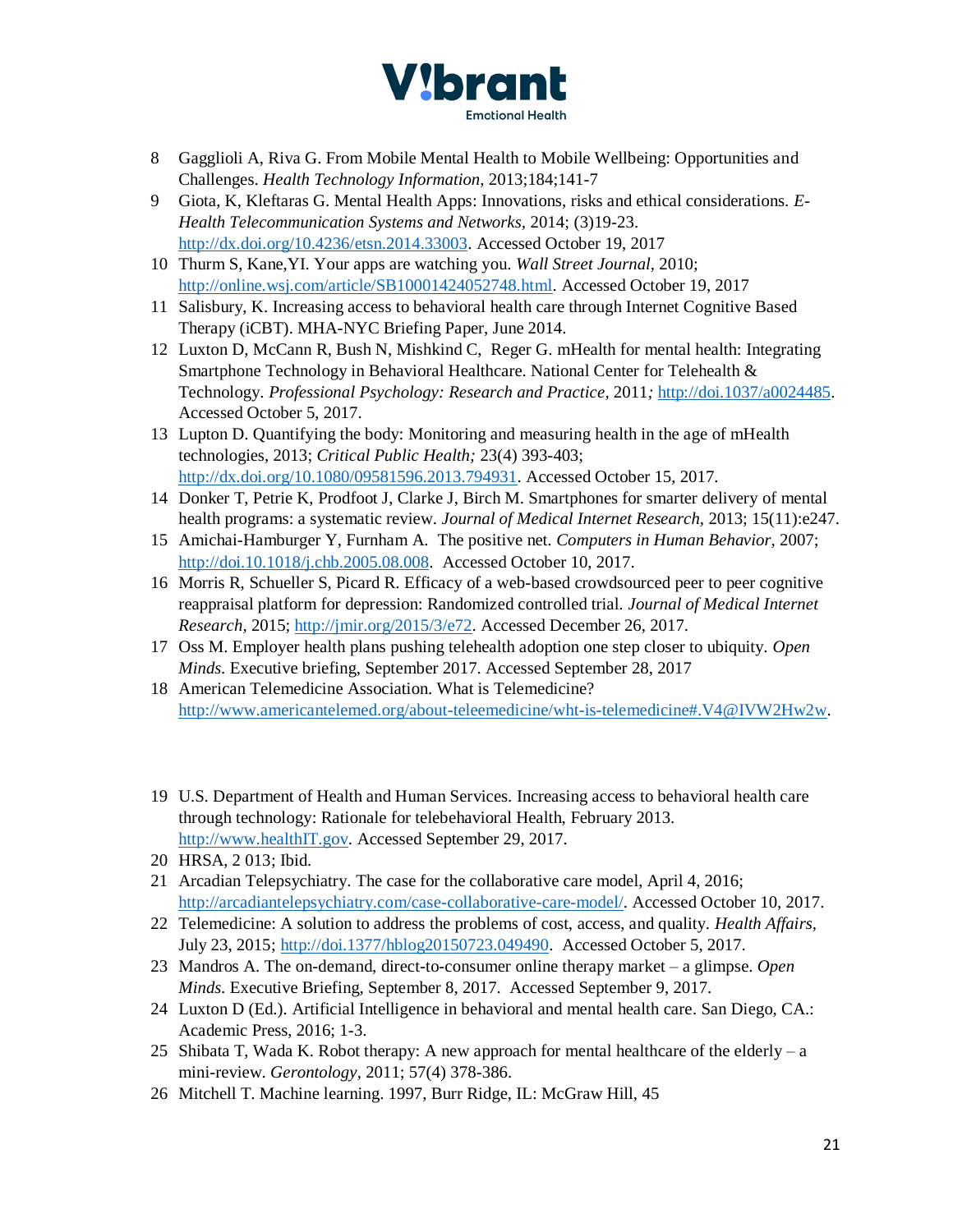

- 8 Gagglioli A, Riva G. From Mobile Mental Health to Mobile Wellbeing: Opportunities and Challenges. *Health Technology Information,* 2013;184;141-7
- 9 Giota, K, Kleftaras G. Mental Health Apps: Innovations, risks and ethical considerations. *E-Health Telecommunication Systems and Networks,* 2014; (3)19-23. [http://dx.doi.org/10.4236/etsn.2014.33003.](http://dx.doi.org/10.4236/etsn.2014.33003) Accessed October 19, 2017
- 10 Thurm S, Kane,YI. Your apps are watching you. *Wall Street Journal,* 2010; [http://online.wsj.com/article/SB10001424052748.html.](http://online.wsj.com/article/SB10001424052748.html) Accessed October 19, 2017
- 11 Salisbury, K. Increasing access to behavioral health care through Internet Cognitive Based Therapy (iCBT). MHA-NYC Briefing Paper, June 2014.
- 12 Luxton D, McCann R, Bush N, Mishkind C, Reger G. mHealth for mental health: Integrating Smartphone Technology in Behavioral Healthcare. National Center for Telehealth & Technology. *Professional Psychology: Research and Practice,* 2011*;* [http://doi.1037/a0024485.](http://doi.1037/a0024485) Accessed October 5, 2017.
- 13 Lupton D. Quantifying the body: Monitoring and measuring health in the age of mHealth technologies, 2013; *Critical Public Health;* 23(4) 393-403; [http://dx.doi.org/10.1080/09581596.2013.794931.](http://dx.doi.org/10.1080/09581596.2013.794931) Accessed October 15, 2017.
- 14 Donker T, Petrie K, Prodfoot J, Clarke J, Birch M. Smartphones for smarter delivery of mental health programs: a systematic review. *Journal of Medical Internet Research,* 2013; 15(11):e247.
- 15 Amichai-Hamburger Y, Furnham A. The positive net. *Computers in Human Behavior,* 2007; [http://doi.10.1018/j.chb.2005.08.008.](http://doi.10.1018/j.chb.2005.08.008) Accessed October 10, 2017.
- 16 Morris R, Schueller S, Picard R. Efficacy of a web-based crowdsourced peer to peer cognitive reappraisal platform for depression: Randomized controlled trial. *Journal of Medical Internet Research,* 2015; [http://jmir.org/2015/3/e72.](http://jmir.org/2015/3/e72) Accessed December 26, 2017.
- 17 Oss M. Employer health plans pushing telehealth adoption one step closer to ubiquity. *Open Minds.* Executive briefing, September 2017. Accessed September 28, 2017
- 18 American Telemedicine Association. What is Telemedicine? [http://www.americantelemed.org/about-teleemedicine/wht-is-telemedicine#.V4@IVW2Hw2w.](http://www.americantelemed.org/about-teleemedicine/wht-is-telemedicine#.V4@IVW2Hw2w)
- 19 U.S. Department of Health and Human Services. Increasing access to behavioral health care through technology: Rationale for telebehavioral Health, February 2013. [http://www.healthIT.gov.](http://www.healthit.gov/) Accessed September 29, 2017.
- 20 HRSA, 2 013; Ibid.
- 21 Arcadian Telepsychiatry. The case for the collaborative care model, April 4, 2016; [http://arcadiantelepsychiatry.com/case-collaborative-care-model/.](http://arcadiantelepsychiatry.com/case-collaborative-care-model/) Accessed October 10, 2017.
- 22 Telemedicine: A solution to address the problems of cost, access, and quality. *Health Affairs,*  July 23, 2015; [http://doi.1377/hblog20150723.049490.](http://doi.1377/hblog20150723.049490) Accessed October 5, 2017.
- 23 Mandros A. The on-demand, direct-to-consumer online therapy market a glimpse. *Open Minds.* Executive Briefing, September 8, 2017. Accessed September 9, 2017.
- 24 Luxton D (Ed.). Artificial Intelligence in behavioral and mental health care. San Diego, CA.: Academic Press, 2016; 1-3.
- 25 Shibata T, Wada K. Robot therapy: A new approach for mental healthcare of the elderly a mini-review. *Gerontology,* 2011; 57(4) 378-386.
- 26 Mitchell T. Machine learning. 1997, Burr Ridge, IL: McGraw Hill, 45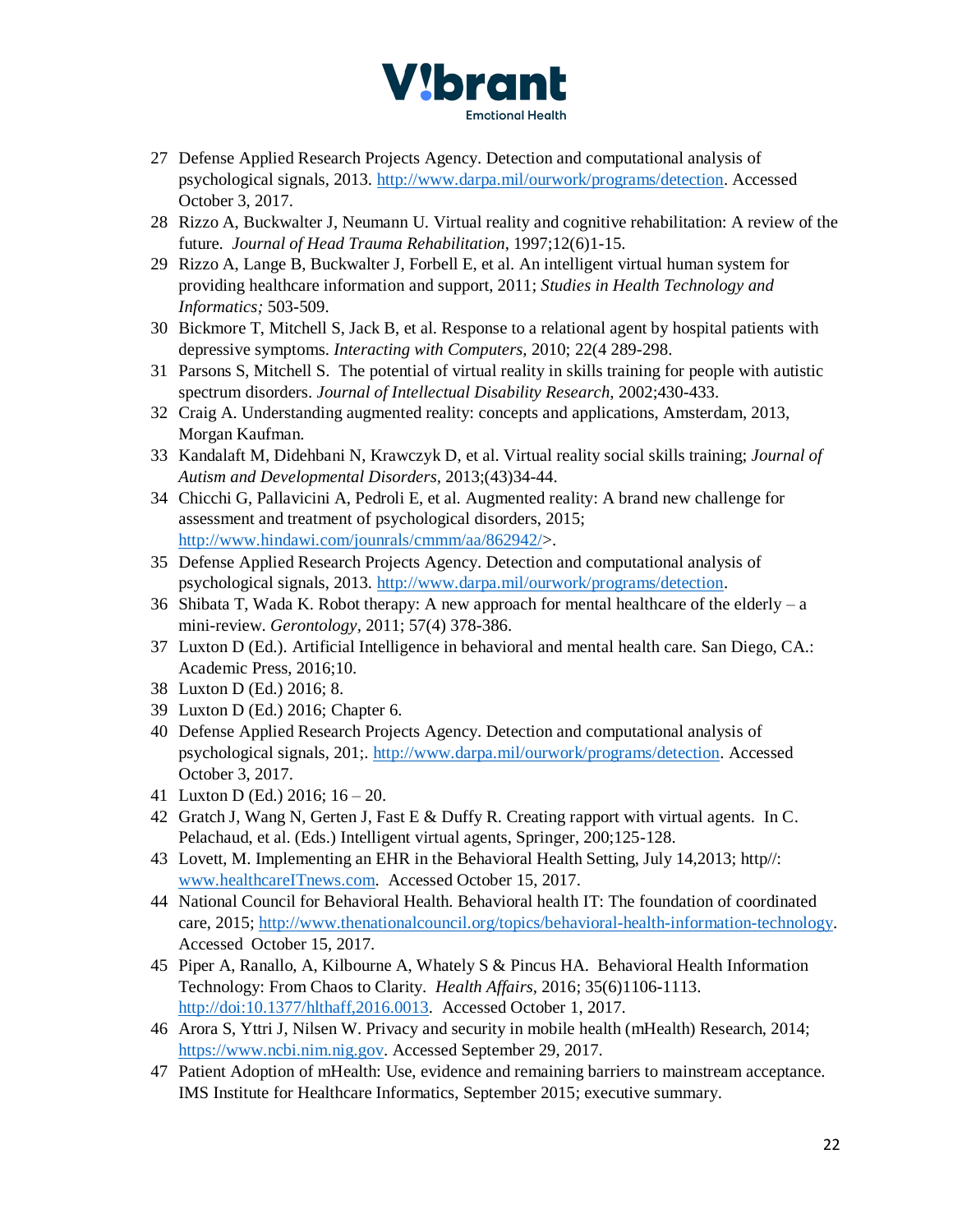

- 27 Defense Applied Research Projects Agency. Detection and computational analysis of psychological signals, 2013. [http://www.darpa.mil/ourwork/programs/detection.](http://www.darpa.mil/ourwork/programs/detection) Accessed October 3, 2017.
- 28 Rizzo A, Buckwalter J, Neumann U. Virtual reality and cognitive rehabilitation: A review of the future. *Journal of Head Trauma Rehabilitation*, 1997;12(6)1-15.
- 29 Rizzo A, Lange B, Buckwalter J, Forbell E, et al. An intelligent virtual human system for providing healthcare information and support, 2011; *Studies in Health Technology and Informatics;* 503-509.
- 30 Bickmore T, Mitchell S, Jack B, et al. Response to a relational agent by hospital patients with depressive symptoms. *Interacting with Computers,* 2010; 22(4 289-298.
- 31 Parsons S, Mitchell S. The potential of virtual reality in skills training for people with autistic spectrum disorders. *Journal of Intellectual Disability Research,* 2002;430-433.
- 32 Craig A. Understanding augmented reality: concepts and applications, Amsterdam, 2013, Morgan Kaufman.
- 33 Kandalaft M, Didehbani N, Krawczyk D, et al. Virtual reality social skills training; *Journal of Autism and Developmental Disorders,* 2013;(43)34-44.
- 34 Chicchi G, Pallavicini A, Pedroli E, et al. Augmented reality: A brand new challenge for assessment and treatment of psychological disorders, 2015; [http://www.hindawi.com/jounrals/cmmm/aa/862942/>](http://www.hindawi.com/jounrals/cmmm/aa/862942/).
- 35 Defense Applied Research Projects Agency. Detection and computational analysis of psychological signals, 2013. [http://www.darpa.mil/ourwork/programs/detection.](http://www.darpa.mil/ourwork/programs/detection)
- 36 Shibata T, Wada K. Robot therapy: A new approach for mental healthcare of the elderly a mini-review. *Gerontology,* 2011; 57(4) 378-386.
- 37 Luxton D (Ed.). Artificial Intelligence in behavioral and mental health care. San Diego, CA.: Academic Press, 2016;10.
- 38 Luxton D (Ed.) 2016; 8.
- 39 Luxton D (Ed.) 2016; Chapter 6.
- 40 Defense Applied Research Projects Agency. Detection and computational analysis of psychological signals, 201;. [http://www.darpa.mil/ourwork/programs/detection.](http://www.darpa.mil/ourwork/programs/detection) Accessed October 3, 2017.
- 41 Luxton D (Ed.) 2016; 16 20.
- 42 Gratch J, Wang N, Gerten J, Fast E & Duffy R. Creating rapport with virtual agents. In C. Pelachaud, et al. (Eds.) Intelligent virtual agents, Springer, 200;125-128.
- 43 Lovett, M. Implementing an EHR in the Behavioral Health Setting, July 14,2013; http//: [www.healthcareITnews.com.](http://www.healthcareitnews.com/) Accessed October 15, 2017.
- 44 National Council for Behavioral Health. Behavioral health IT: The foundation of coordinated care, 2015; <http://www.thenationalcouncil.org/>topics/behavioral-health-information-technology. Accessed October 15, 2017.
- 45 Piper A, Ranallo, A, Kilbourne A, Whately S & Pincus HA. Behavioral Health Information Technology: From Chaos to Clarity. *Health Affairs,* 2016; 35(6)1106-1113. [http://doi:10.1377/hlthaff,2016.0013.](http://doi:10.1377/hlthaff,2016.0013) Accessed October 1, 2017.
- 46 Arora S, Yttri J, Nilsen W. Privacy and security in mobile health (mHealth) Research, 2014; [https://www.ncbi.nim.nig.gov.](https://www.ncbi.nim.nig.gov/) Accessed September 29, 2017.
- 47 Patient Adoption of mHealth: Use, evidence and remaining barriers to mainstream acceptance. IMS Institute for Healthcare Informatics, September 2015; executive summary.